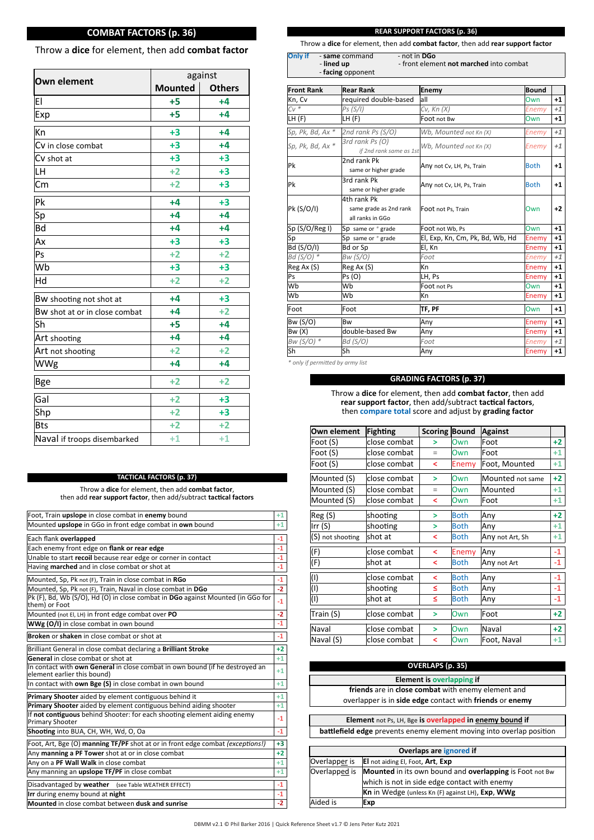# **COMBAT FACTORS (p. 36)**

# Throw a **dice** for element, then add **combat factor**

| <b>Own element</b>            | against        |               |  |  |  |  |  |
|-------------------------------|----------------|---------------|--|--|--|--|--|
|                               | <b>Mounted</b> | <b>Others</b> |  |  |  |  |  |
| EI                            | $+5$           | $+4$          |  |  |  |  |  |
| Exp                           | $+5$           | +4            |  |  |  |  |  |
| Kn                            | $+3$           | $+4$          |  |  |  |  |  |
| Cv in close combat            | $+3$           | $+4$          |  |  |  |  |  |
| Cv shot at                    | $+3$           | $+3$          |  |  |  |  |  |
| LH                            | $+2$           | $+3$          |  |  |  |  |  |
| Cm                            | $+2$           | $+3$          |  |  |  |  |  |
| Pk                            | $+4$           | $+3$          |  |  |  |  |  |
| Sp                            | $+4$           | $+4$          |  |  |  |  |  |
| Bd                            | $+4$           | $+4$          |  |  |  |  |  |
| Ax                            | $+3$           | $+3$          |  |  |  |  |  |
| Ps                            | $+2$           | $+2$          |  |  |  |  |  |
| Wb                            | $+3$           | $+3$          |  |  |  |  |  |
| Hd                            | $+2$           | $+2$          |  |  |  |  |  |
| Bw shooting not shot at       | $+4$           | $+3$          |  |  |  |  |  |
| Bw shot at or in close combat | $+4$           | $+2$          |  |  |  |  |  |
| Sh                            | $+5$           | $+4$          |  |  |  |  |  |
| Art shooting                  | $+4$           | $+4$          |  |  |  |  |  |
| Art not shooting              | $+2$           | $+2$          |  |  |  |  |  |
| WWg                           | $+4$           | $+4$          |  |  |  |  |  |
| <b>Bge</b>                    | $+2$           | $+2$          |  |  |  |  |  |
| Gal                           | $+2$           | $+3$          |  |  |  |  |  |
| Shp                           | $+2$           | $+3$          |  |  |  |  |  |
| <b>Bts</b>                    | $+2$           | $+2$          |  |  |  |  |  |
| Naval if troops disembarked   | $+1$           | $+1$          |  |  |  |  |  |

# **TACTICAL FACTORS (p. 37)**

Throw a **dice** for element, then add **combat factor**, then add **rear support factor**, then add/subtract **tac�cal factors**

| Foot, Train upslope in close combat in enemy bound                                                          | $+1$ |
|-------------------------------------------------------------------------------------------------------------|------|
| Mounted upslope in GGo in front edge combat in own bound                                                    | $+1$ |
| Each flank overlapped                                                                                       | $-1$ |
| Each enemy front edge on flank or rear edge                                                                 | $-1$ |
| Unable to start recoil because rear edge or corner in contact                                               | $-1$ |
| Having marched and in close combat or shot at                                                               | $-1$ |
| Mounted, Sp, Pk not (F), Train in close combat in RGo                                                       | $-1$ |
| Mounted, Sp, Pk not (F), Train, Naval in close combat in DGo                                                | $-2$ |
| Pk (F), Bd, Wb (S/O), Hd (O) in close combat in DGo against Mounted (in GGo for<br>them) or Foot            | $-1$ |
| Mounted (not EI, LH) in front edge combat over PO                                                           | $-2$ |
| WWg (O/I) in close combat in own bound                                                                      | $-1$ |
| Broken or shaken in close combat or shot at                                                                 | $-1$ |
| Brilliant General in close combat declaring a Brilliant Stroke                                              | $+2$ |
| General in close combat or shot at                                                                          | $+1$ |
| In contact with own General in close combat in own bound (if he destroyed an<br>element earlier this bound) | $+1$ |
| In contact with own Bge (S) in close combat in own bound                                                    | $+1$ |
| Primary Shooter aided by element contiguous behind it                                                       | $+1$ |
| Primary Shooter aided by element contiguous behind aiding shooter                                           | $+1$ |
| If not contiguous behind Shooter: for each shooting element aiding enemy<br><b>Primary Shooter</b>          | $-1$ |
| Shooting into BUA, CH, WH, Wd, O, Oa                                                                        | $-1$ |
| Foot, Art, Bge (O) manning TF/PF shot at or in front edge combat (exceptions!)                              | $+3$ |
| Any manning a PF Tower shot at or in close combat                                                           | $+2$ |
| Any on a PF Wall Walk in close combat                                                                       | $+1$ |
| Any manning an upslope TF/PF in close combat                                                                | $+1$ |
| Disadvantaged by weather<br>(see Table WEATHER EFFECT)                                                      | $-1$ |
| Irr during enemy bound at night                                                                             | $-1$ |
| Mounted in close combat between dusk and sunrise                                                            | $-2$ |
|                                                                                                             |      |

## **REAR SUPPORT FACTORS (p. 36)**

Throw a **dice** for element, then add **combat factor**, then add **rear support factor**

**Only if** - **same** command - not in **DGo**<br>- **lined up** - front element-- front element **not marched** into combat - **facing** opponent

| <b>Front Rank</b> | <b>Rear Rank</b>                                          | Enemy                           | <b>Bound</b> |      |
|-------------------|-----------------------------------------------------------|---------------------------------|--------------|------|
| Kn, Cv            | required double-based                                     | all                             | Own          | $+1$ |
| $CV^*$            | Ps (S/I)                                                  | Cv, Kn (X)                      | Enemy        | $+1$ |
| LH (F)            | LH (F)                                                    | Foot not Bw                     | Own          | $+1$ |
| Sp, Pk, Bd, Ax *  | 2nd rank Ps (S/O)                                         | Wb, Mounted not Kn (X)          | <b>Enemy</b> | $+1$ |
| Sp, Pk, Bd, Ax *  | 3rd rank Ps (O)<br>if 2nd rank same as 1st                | Wb, Mounted not Kn (X)          | Enemy        | $+1$ |
| Pk                | 2nd rank Pk<br>same or higher grade                       | Any not Cv, LH, Ps, Train       | <b>Both</b>  | $+1$ |
| Pk                | 3rd rank Pk<br>same or higher grade                       | Any not Cv, LH, Ps, Train       | <b>Both</b>  | $+1$ |
| Pk (S/O/I)        | 4th rank Pk<br>same grade as 2nd rank<br>all ranks in GGo | Foot not Ps, Train              | Own          | $+2$ |
| Sp (S/O/Reg I)    | Sp same or $*$ grade                                      | Foot not Wb, Ps                 | Own          | $+1$ |
| Sp                | Sp same or $*$ grade                                      | El, Exp, Kn, Cm, Pk, Bd, Wb, Hd | Enemy        | $+1$ |
| Bd (S/O/I)        | Bd or Sp                                                  | El, Kn                          | Enemy        | $+1$ |
| Bd (S/O) *        | Bw (S/O)                                                  | Foot                            | Enemy        | $+1$ |
| Reg Ax (S)        | Reg Ax (S)                                                | Кn                              | Enemy        | $+1$ |
| Ps                | Ps (O)                                                    | LH. Ps                          | Enemy        | $+1$ |
| Wb                | Wb                                                        | Foot not Ps                     | Own          | $+1$ |
| Wb                | Wb                                                        | Кn                              | Enemy        | $+1$ |
| Foot              | Foot                                                      | TF, PF                          | Own          | $+1$ |
| Bw (S/O)          | Bw                                                        | Any                             | Enemy        | $+1$ |
| Bw(X)             | double-based Bw                                           | Any                             | Enemy        | $+1$ |
| $Bw(S/O)$ *       | Bd (S/O)                                                  | Foot                            | <b>Enemy</b> | $+1$ |
| Sh                | Sh                                                        | Any                             | Enemy        | $+1$ |

*\* only if permiƩed by army list*

**GRADING FACTORS (p. 37)**

Throw a **dice** for element, then add **combat factor**, then add **rear support factor**, then add/subtract **tac�cal factors**, then **compare total** score and adjust by **grading factor**

| Own element      | <b>Fighting</b> | <b>Scoring Bound</b> |             | <b>Against</b>   |      |
|------------------|-----------------|----------------------|-------------|------------------|------|
| Foot (S)         | close combat    | >                    | Own         | Foot             | $+2$ |
| Foot (S)         | close combat    | $=$                  | Own         | Foot             | $+1$ |
| Foot (S)         | close combat    | ≺                    | Enemy       | Foot, Mounted    | $+1$ |
| Mounted (S)      | close combat    | >                    | Own         | Mounted not same | $+2$ |
| Mounted (S)      | close combat    | $=$                  | Own         | Mounted          | $+1$ |
| Mounted (S)      | close combat    | ≺                    | Own<br>Foot |                  | $+1$ |
| Reg(S)           | shooting        | >                    | <b>Both</b> | Any              | $+2$ |
| Irr $(S)$        | shooting        | >                    | <b>Both</b> | Any              | $+1$ |
| (S) not shooting | lshot at        | ≺                    | <b>Both</b> | Any not Art, Sh  | $+1$ |
| (F)              | close combat    | ≺                    | Enemy       | Any              | $-1$ |
| (F)              | shot at         | ≺                    | <b>Both</b> | Any not Art      | $-1$ |
| $\vert$ (I)      | close combat    | ≺                    | <b>Both</b> | Any              | $-1$ |
| $\vert$ (I)      | shooting        | ×.                   | <b>Both</b> | Any              | -1   |
| $\vert$ (I)      | shot at         | ≤                    | <b>Both</b> | Any              | $-1$ |
| Train (S)        | close combat    | $\geq$               | Own         | Foot             | $+2$ |
| Naval            | close combat    | $\geq$               | Own         | Naval            | $+2$ |
| Naval (S)        | close combat    | ≺                    | Own         | Foot, Naval      | $+1$ |

| <b>OVERLAPS (p. 35)</b>                                                     |                                                                       |  |  |  |  |  |  |
|-----------------------------------------------------------------------------|-----------------------------------------------------------------------|--|--|--|--|--|--|
|                                                                             | <b>Element is overlapping if</b>                                      |  |  |  |  |  |  |
|                                                                             | friends are in close combat with enemy element and                    |  |  |  |  |  |  |
|                                                                             | overlapper is in side edge contact with friends or enemy              |  |  |  |  |  |  |
|                                                                             |                                                                       |  |  |  |  |  |  |
|                                                                             | <b>Element</b> not Ps, LH, Bge is <b>overlapped</b> in enemy bound if |  |  |  |  |  |  |
| <b>battlefield edge</b> prevents enemy element moving into overlap position |                                                                       |  |  |  |  |  |  |
|                                                                             |                                                                       |  |  |  |  |  |  |
|                                                                             | Overlaps are ignored if                                               |  |  |  |  |  |  |
| Overlapper is                                                               | El not aiding El, Foot, Art, Exp                                      |  |  |  |  |  |  |
| Overlapped is                                                               | <b>Mounted</b> in its own bound and <b>overlapping</b> is Foot not Bw |  |  |  |  |  |  |
|                                                                             | which is not in side edge contact with enemy                          |  |  |  |  |  |  |
|                                                                             | <b>Kn</b> in Wedge (unless Kn (F) against LH), Exp, WWg               |  |  |  |  |  |  |
| Aided is                                                                    | Exp                                                                   |  |  |  |  |  |  |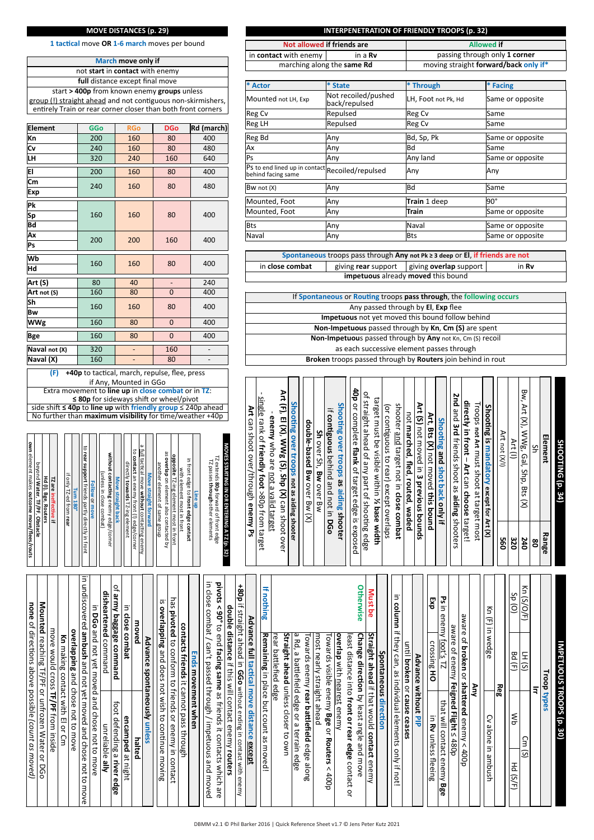#### **MOVE DISTANCES (p. 29)**

**1 tac�cal** move **OR 1-6 march** moves per bound

**March move only if** not **start** in **contact** with enemy **full** distance except final move start **> 400p** from known enemy **groups** unless group (!) straight ahead and not contiguous non-skirmishers entirely Train or rear corner closer than both front corners

| <b>Element</b> | <b>GGo</b> | <b>RGo</b> | <b>DGo</b>   | Rd (march) |  |  |
|----------------|------------|------------|--------------|------------|--|--|
| Kn             | 200        | 160        | 80           | 400        |  |  |
| Cv             | 240        | 160        | 80           | 480        |  |  |
| LН             | 320        | 240        | 160          | 640        |  |  |
| EI             | 200        | 160        | 80           | 400        |  |  |
| Cm             | 240        | 160        | 80           | 480        |  |  |
| Exp            |            |            |              |            |  |  |
| Pk             |            |            |              |            |  |  |
| Sp             | 160        | 160        | 80           | 400        |  |  |
| Bd             |            |            |              |            |  |  |
| Ax             | 200        | 200        | 160          | 400        |  |  |
| Ps             |            |            |              |            |  |  |
| lWb            | 160        | 160        | 80           | 400        |  |  |
| Hd             |            |            |              |            |  |  |
| Art(S)         | 80         | 40         |              | 240        |  |  |
| Art not (S)    | 160        | 80         | 0            | 400        |  |  |
| Sh             | 160        | 160        | 80           | 400        |  |  |
| Bw             |            |            |              |            |  |  |
| <b>WWg</b>     | 160        | 80         | $\mathbf{0}$ | 400        |  |  |
| Bge            | 160        | 80         | $\mathbf 0$  | 400        |  |  |
| Naval not (X)  | 320        | -          | 160          |            |  |  |
| Naval (X)      | 160        | -          | 80           |            |  |  |
|                |            |            |              |            |  |  |

if Any, Mounted in GGo **(F)** +40p to tactical, march, repulse, flee, press Extra movement to **line up** in **close combat** or in **TZ**: ≤ 80p for sideways shift or wheel/pivot

side shi� **≤ 40p** to **line up** with **friendly group** ≤ 240p ahead No further than **maximum visibility** for time/weather +40p

| Hd (I), Bge, Routers                             |
|--------------------------------------------------|
| TZ are ineffective if                            |
|                                                  |
| if only TZ-ed from rear                          |
| <b>Turn 180°</b>                                 |
| to rear support friends partly directly in front |
| Follow or move                                   |
| (unless in close combat)                         |
| without contacting enemy edge/corner             |
|                                                  |
| Move straight back                               |
|                                                  |
| directly towards TZ-ing element                  |
| to contact an enemy front (!) edge/corner        |
| a full tactical move without contacting enemy    |
| Move straight forward                            |
| another element of same group                    |
| as overlap on element also contacted by          |
| opposite TZ-ing element most in front            |
| with element most in front                       |
| in front edge to front edge contact              |

move would cross

**Mounted**

beyond

element makes

**Water**, **TF/PF**,

**own** element makes outcome move/flees/routs

**outcome move/flees/routs**

**Obstacle**

move would cross TF/PF from inside

reaching TF/PF or unfrozen Water or DGo

Mounted reaching TF/PF or unfrozen Water or DGo

**none** of directions above possible (count as moved) of direc�ons above possible

*(count as moved)*

from inside

TZ extends **80p** forward of front edge TZ passes **through**other elements

**Line up**

# MOVES STARTING IN OR ENTERING A TZ (p. 32) **MOVES STARTING IN OR ENTERING A TZ (p. 32)**

|                                                                                                        | Broken troops passed through by Routers join behind in rout |                                             |                                            |                             |                        |                                     |                                        |                                                 |                                                |                                            |                                         |                                        |                                  |                                        |                                   |                                |                                                 |                                            |                                          |                                          |               |         |                                        |   |
|--------------------------------------------------------------------------------------------------------|-------------------------------------------------------------|---------------------------------------------|--------------------------------------------|-----------------------------|------------------------|-------------------------------------|----------------------------------------|-------------------------------------------------|------------------------------------------------|--------------------------------------------|-----------------------------------------|----------------------------------------|----------------------------------|----------------------------------------|-----------------------------------|--------------------------------|-------------------------------------------------|--------------------------------------------|------------------------------------------|------------------------------------------|---------------|---------|----------------------------------------|---|
| $\blacksquare$<br>single rank of friendly foot >80p from target<br>Art can shoot over/through enemy Ps | enemy who are <u>not a valid target</u>                     | Art (F), El (X), WWg (S), Shp (X) can shoot | Shooting over troops not as aiding shooter | double-based BW over Bw (X) | Sh over Sh, Bw over Bw | if contiguous behind and not in DGo | Shooting over troops as aiding shooter | 40p or complete flank of target edge is exposed | of straight ahead of any part of shooting edge | target must be visible within % base width | (or contiguous to rear) except overlaps | shooter and target not in close combat | not marched, fled, routed, waded | Art (S) not moved in 3 previous bounds | Art, Bts (X) not moved this bound | Shooting and shot back only if | 2nd<br>and 3rd friends shoot as aiding shooters | directly in front – Art can choose taiget! | Troops not Art must shoot at target most | Shooting is mandatory except for Art (X) | Art not (X/I) | Art (I) | Bw, Art (X), WWg,<br>Gal, Shp, Bts (X) | Š |
|                                                                                                        |                                                             | <b>OVEL</b>                                 |                                            |                             |                        |                                     |                                        |                                                 |                                                |                                            |                                         |                                        |                                  |                                        |                                   |                                |                                                 |                                            |                                          |                                          | ទី            | 320     | 240                                    | g |

**SHOOTING (p. 34)**

SHOOTING (p. 34)

**Element**

**Range**

|                                                                       | overlapping and chose not to move<br>Kn making contact with El or Cm |          |
|-----------------------------------------------------------------------|----------------------------------------------------------------------|----------|
| move                                                                  | in undiscovered ambush and not yet moved and chose not to            |          |
|                                                                       | in DGo and not yet moved and chose not to move                       |          |
| unreliable ally                                                       | disheartened command                                                 |          |
| foot defending a river<br>edge                                        | of army baggage command                                              |          |
| encamped<br>ă<br>night                                                | Ξ<br>close combat                                                    |          |
| halted                                                                | moved                                                                |          |
| ssalun Visuoentanods                                                  | Advance                                                              |          |
| and does not wish to continue moving                                  | 5<br>overlapping                                                     |          |
|                                                                       | has <b>pivoted</b> to conform to friends or enemy in contact         |          |
|                                                                       | contacts friends it cannot pass through                              |          |
|                                                                       | Ends movement when                                                   |          |
| can't passed through / impetuous<br>pue<br>moved                      | close<br>combat/                                                     | $\equiv$ |
| < 90° to end facing same as friends it contacts which are             | pivots                                                               |          |
|                                                                       | double distance if this will contact enemy routers                   |          |
| straight ahead in GGo without ending in contact with<br>enemy         | $408 +$<br>≕                                                         |          |
| except                                                                | Advance full tactical move distance                                  |          |
| Remaining in place but count as moved!                                | If nothing                                                           |          |
|                                                                       | rear battlefied edge                                                 |          |
| Straight ahead unless closer to own                                   |                                                                      |          |
| a Rd, a battlefield edge or a terrain edge                            |                                                                      |          |
| Towards enemy rear battlefield edge along                             | most nearly straight ahead                                           |          |
| Towards visible enemy Bge or Routers<br>$\wedge$<br>d <sub>00</sub> t |                                                                      |          |
|                                                                       | overlap with <u>nearest</u> enemy                                    |          |
| least distance into front or rear edge contact or                     |                                                                      |          |
| and move                                                              | <b>Otherwise</b><br><b>Change direction</b> by least angle           |          |
| Straight ahead if that would contact<br>enemy                         | Must<br>ခွ                                                           |          |
|                                                                       | <b>Spontaneous direction</b>                                         |          |
| only<br>$\equiv$<br>pot                                               | in column<br>if they can, as individual elements                     |          |
| ceases                                                                | until broken or cause                                                |          |
| without PIP                                                           | Advance                                                              |          |
| in <b>Rv</b> unless<br>fleeing                                        | Exp<br>crossing<br>종                                                 |          |
| that will contact enemy<br>品<br>൹                                     | వ్గా<br>in enemy foot's TZ                                           |          |
|                                                                       | aware of enemy <b>Feigned Flight</b> ≤ 480p                          |          |
| shattered enemy <<br>d <sub>00</sub> b                                | aware<br>$\vec{\sigma}$<br>broken or                                 |          |
|                                                                       | χη                                                                   |          |
| Cv alone<br>Ξ.<br>ambush                                              | Kn (F) in wedge                                                      |          |
|                                                                       | Reg                                                                  |          |
| $\mathsf{R}^{\mathsf{S}}$<br>Hd (S/<br>그                              | Ó<br>$\widehat{\circ}$<br>8d<br>Ξ                                    |          |
| Cm (S)                                                                | Kn (S/O/F)<br>TH(5)                                                  |          |
|                                                                       | $\bar{z}$                                                            |          |
|                                                                       | <b>Troop types</b>                                                   |          |
|                                                                       | <b>IMPETUOUS TROOPS (p. 30)</b>                                      |          |
|                                                                       |                                                                      |          |

#### **INTERPENETRATION OF FRIENDLY TROOPS (p. 32)**

|                            | Not allowed if friends are | <b>Allowed if</b>                     |  |  |  |  |
|----------------------------|----------------------------|---------------------------------------|--|--|--|--|
| in contact with enemy      | in a <b>Rv</b>             | passing through only 1 corner         |  |  |  |  |
| marching along the same Rd |                            | moving straight forward/back only if* |  |  |  |  |

| * Actor                                                               | * State                              | * Through           | * Facing         |  |  |
|-----------------------------------------------------------------------|--------------------------------------|---------------------|------------------|--|--|
| Mounted not LH, Exp                                                   | Not recoiled/pushed<br>back/repulsed | LH, Foot not Pk, Hd | Same or opposite |  |  |
| <b>Reg Cv</b>                                                         | Repulsed                             | Reg Cv              | Same             |  |  |
| Reg LH                                                                | Repulsed                             | Reg Cv              | Same             |  |  |
| Reg Bd                                                                | Any                                  | Bd, Sp, Pk          | Same or opposite |  |  |
| Ax                                                                    | Any                                  | <b>Bd</b>           | Same             |  |  |
| <b>Ps</b>                                                             | Any                                  | Any land            | Same or opposite |  |  |
| Ps to end lined up in contact Recoiled/repulsed<br>behind facing same |                                      | Any                 | Any              |  |  |
| Bw not (X)                                                            | Any                                  | Bd                  | Same             |  |  |
| Mounted, Foot                                                         | Any                                  | Train 1 deep        | 90°              |  |  |
| Mounted, Foot                                                         | Any                                  | <b>Train</b>        | Same or opposite |  |  |
| <b>Bts</b>                                                            | Any                                  | Naval               | Same or opposite |  |  |
| Naval                                                                 | Any                                  | Bts                 | Same or opposite |  |  |

| Spontaneous troops pass through Any not $Pk \geq 3$ deep or El, if friends are not     |  |  |  |  |  |  |  |  |
|----------------------------------------------------------------------------------------|--|--|--|--|--|--|--|--|
| in close combat<br>giving rear support $\vert$ giving overlap support $\vert$<br>in Rv |  |  |  |  |  |  |  |  |
| impetuous already moved this bound                                                     |  |  |  |  |  |  |  |  |

| If Spontaneous or Routing troops pass through, the following occurs |  |
|---------------------------------------------------------------------|--|
| Any passed through by El, Exp flee                                  |  |
| <b>Impetuous</b> not yet moved this bound follow behind             |  |
| Non-Impetuous passed through by Kn, Cm (S) are spent                |  |
| Non-Impetuous passed through by Any not Kn, Cm (S) recoil           |  |
| as each successive element passes through                           |  |
| Broken troops passed through by Routers join behind in rout         |  |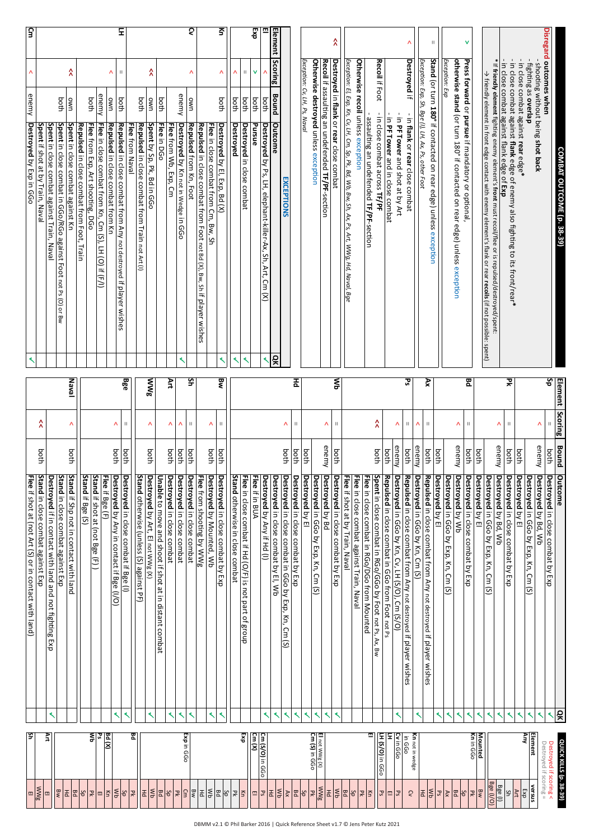|                         |                            |                              | COMBAT OUTCOME (p. 38-39)                                                                                                                          |                         | Element Scoring                 | <b>Bound</b>  | Outcome                                                                                            | ăĸ     | quick killis (p.                                 |                                     |
|-------------------------|----------------------------|------------------------------|----------------------------------------------------------------------------------------------------------------------------------------------------|-------------------------|---------------------------------|---------------|----------------------------------------------------------------------------------------------------|--------|--------------------------------------------------|-------------------------------------|
| Disregard outcomes when |                            |                              |                                                                                                                                                    | $\overline{\mathbf{s}}$ | $\mathsf{II}$                   | both          | Destroyed in close combat by Exp                                                                   |        | Destroyed if scoring <<br>Destroyed if scoring = |                                     |
|                         |                            |                              | - shooting without being shot back                                                                                                                 |                         | ٨                               | enemy         | <b>Destroyed</b> by Bd, Wb                                                                         | ⋖      | Element                                          | versus                              |
|                         |                            | - fighting as <b>overlap</b> | in close combat against rear edge*                                                                                                                 |                         |                                 | both          | Destroyed by El<br>Destroyed in GGo by Exp, Kn, Cm (S)                                             | K<br>≺ | ₹                                                | Exp                                 |
|                         |                            |                              | in close combat against flank edge of enemy also fighting to its front/rear*                                                                       | 깆                       | $\mathbb H$                     | both          | Destroyed in close combat by Exp                                                                   |        |                                                  | Ş                                   |
|                         |                            |                              | * If friendly element fighting enemy element's front must recoil/flee or is repulsed/destroyed/spent:<br>in close combat against flank edge of Exp |                         | Λ                               | enemy         | Destroyed by Bd, Wb                                                                                |        |                                                  | Bge $(1)$                           |
|                         |                            |                              | $\rightarrow$ friendly element in front edge contact with enemy element's flank or rear recoils (if not possible: spent)                           |                         |                                 |               | Destroyed in GGo by Exp, Kn, Cm (S)                                                                |        |                                                  | Bge (I/O)                           |
|                         |                            |                              |                                                                                                                                                    |                         |                                 | both          | Destroyed by El                                                                                    | ≺      | Kn in GGo<br>Mounted                             | Bw<br>Ρk                            |
| v                       |                            |                              | Press forward or pursue if mandatory or optional,                                                                                                  | 모                       | $\mathop{\rm II}\nolimits$<br>Λ | enemy<br>both | Destroyed in close combat by Exp<br>Destroyed by Wb                                                | ≺      |                                                  | 영화                                  |
|                         | Exception: Exp             |                              | otherwise stand (or turn 180° if contacted on rear edge) unless exception                                                                          |                         |                                 |               | Destroyed in GGo by Exp, Kn, Cm<br>$\overline{S}$                                                  |        |                                                  | $\mathsf{X}$                        |
| $\mid \mid$             |                            |                              | Stand (or turn 180° if contacted on rear edge) unless exception                                                                                    |                         |                                 | both          | Destroyed by El                                                                                    | ≺      |                                                  | $\mathsf{S}^\mathsf{c}$             |
|                         |                            |                              | Exception: Exp, Sh, Bge (I), LH, Ax, Ps, other Foot                                                                                                | Ř                       | $\ .\ $                         | both          | Repulsed in close combat from Any not destroyed if player wishes                                   |        |                                                  | ∣≨<br>$\Xi$                         |
|                         |                            |                              |                                                                                                                                                    |                         | Λ                               | enemy         | Destroyed in GGo by Kn, Cm (S)                                                                     | ⋖      | Kn not in wedge                                  | S                                   |
| Λ                       | Destroyed if               |                              | - in flank or rear close combat                                                                                                                    | ত্ত                     | $\vert\vert$                    | both          | Repulsed in close combat from Any not destroyed if player wishes                                   |        | in GGo                                           |                                     |
|                         |                            |                              | - in PF Tower and shot at by Art<br>in PF Tower and in close combat                                                                                |                         | Λ                               | enemy         | Repulsed in close combat in GGo from Foot not Ps<br>Destroyed in GGo by Kn, Cv, LH (S/O), Cm (S/O) | ⋖      | Ξ<br>Cv in GGo                                   | $ \mathfrak{L} $<br>罒               |
|                         | Recoil if Foot             |                              | - in close combat across TF/PF                                                                                                                     |                         | ٨                               | both<br>both  | Spent in close combat in RGo/GGo by Foot not Ps, Ax, Bw                                            |        | LH (S/O) in GGo                                  | 50                                  |
|                         |                            |                              | - assaulting an undefended TF/PF-section                                                                                                           |                         |                                 |               | <b>Flee</b> in close combat in RGo/DGo from Mounted                                                |        | ш                                                | 뭐<br>否                              |
|                         |                            |                              | Otherwise recoil unless exception                                                                                                                  |                         |                                 |               | Flee in close combat against Train, Naval                                                          |        |                                                  | ΡR                                  |
|                         |                            |                              | Exception: El, Exp, Kn, Cv, LH, Cm, Sp, Pk, Bd, Wb, Bw, Sh, Ax, Ps, Art, WWg, Hd, Naval, Bge                                                       | ξ                       | $\mathbb H$                     | both          | Flee if shot at by Train, Naval<br>Destroyed in close compet by Exp                                |        |                                                  | $ \xi$<br>$\overline{\mathtt{g}}$   |
| $\hat{\lambda}$         |                            |                              | Recoil if assaulting an undefended TF/PF-section<br>Destroyed in flank or rear close combat                                                        |                         | Λ                               | enemy         | Destroyed by Bd                                                                                    | ≺      |                                                  | $\Xi$                               |
|                         |                            |                              | Otherwise destroyed unless exception                                                                                                               |                         |                                 |               | Destroyed in GGo by Exp, Kn, Cm (S)                                                                | ≺      | <b>Cm (S)</b> in GGo<br>El not WWg $(X)$         | <b>WWg</b>                          |
|                         |                            | Exception: Cv, LH, Ps, Naval |                                                                                                                                                    |                         | $\mathop{\rm II}\nolimits$      | both<br>both  | Destroyed in close combat by Exp<br>Destroyed by El                                                | ≺<br>⋖ |                                                  | <b>Bd</b><br>지영                     |
|                         |                            |                              | EXCEPTIONS                                                                                                                                         |                         | Λ                               | both          | Destroyed in close combat in GGo by Exp, Kn, Cm (S)                                                | ≺      |                                                  | $\mathsf{A}\mathsf{x}$              |
| Element                 | <b>Scoring</b>             | Bound                        | Outcome<br>QK                                                                                                                                      |                         |                                 |               | Destroyed in close combat by El, Wb                                                                |        |                                                  | $\frac{1}{\sqrt{2}}$<br>군           |
| 중<br>▥                  | v<br>Λ                     | both<br>both                 | Pursue<br>Destroyed by Ps, LH, elephant-killer-Ax, Sh, Art, Cm (X)<br>≺                                                                            |                         |                                 |               | Flee if in BUA<br>Destroyed by Any if Hd (I)                                                       | ≺      | Cm (S/O) in GGo                                  | 5 <sup>o</sup><br>画                 |
|                         | $\mathop{\rm II}\nolimits$ | both                         | Destroyed in close combat<br>₹                                                                                                                     |                         |                                 |               | Flee in close conbat if Hd (O/L) is not part of group                                              |        | Exp<br>$\frac{C}{2}$                             | Ιš.                                 |
|                         | Λ                          | both                         | Destroyed<br>≺                                                                                                                                     |                         |                                 |               | Stand otherwise in close combat                                                                    |        |                                                  | 굣                                   |
| $\overline{\mathsf{s}}$ | Λ                          | both                         | Destroyed by El, Exp, Bd (X)<br>⋖                                                                                                                  | ष्ट्र                   | $\mathbb H$                     | both          | Destroyed in close combat by Exp                                                                   |        |                                                  | ΨŚ<br>Bd                            |
|                         |                            |                              | Repulsed in close combat from Foot not Bd (X), Bw, Sh if player wishes<br>Flee in close combat from Cm, Bw, Sh                                     |                         | Λ                               | both          | Flee from shooting by WWg<br>Destroyed by Mouted, Wb                                               |        |                                                  | $\mathsf{R}$<br>舌                   |
| হ                       | Λ                          | <b>UWO</b>                   | Repulsed from Kn, Foot                                                                                                                             | š                       | $\mathop{\rm II}\nolimits$      | both          | Destroyed in close combat                                                                          | ≺      |                                                  | 회의                                  |
|                         |                            | enemy                        | Destroyed by Kn not in Wedge in GGo<br>∢                                                                                                           |                         | Λ                               | both          | Destroyed in close combat                                                                          | ≺      | Exp in GGo                                       | $\mathbb{R}$                        |
|                         |                            |                              | <b>Flee from Nb, Exp, Cm</b>                                                                                                                       | š                       | ٨                               | both          | Destroyed in close combat                                                                          | ≺      |                                                  | 9g                                  |
|                         | Ϋ                          | both                         | Flee in DGo                                                                                                                                        |                         |                                 |               | Draple to move and shoot if shot at in distant compart                                             |        |                                                  | $\mathop{\leqslant}\nolimits$<br> 모 |
|                         |                            | both<br>uwo                  | Reparated in Close compart from Hain not Art (i)<br>Spent by Sp, Pk, Bd in GGo                                                                     | <b>MWg</b>              | Λ                               | both          | Destroyed by Art, El not WWg (X)                                                                   | ≺      |                                                  | 품                                   |
|                         |                            |                              | Flee from Naval                                                                                                                                    |                         |                                 |               | Stand otherwise (unless (S) against PF)                                                            |        | 문                                                | 곶                                   |
| Ξ                       | $\vert\vert$               | both                         | Repulsed in close combat from Any not destroyed if player wishes                                                                                   | Bge                     | П                               | both          | Destroyed in close combat if Bge (I)                                                               |        |                                                  | $\frac{2b}{5}$                      |
|                         | Λ                          | uwo                          | Repulsed in close combat from Kn                                                                                                                   |                         | Λ                               | both          | Flee if Bge (F)<br><b>Destroyed</b> by Any in contact if Bge (I/O)                                 | ≺      | pq(x)                                            | Ιš                                  |
|                         |                            | enemy                        | Flee in close combat from Kn, Cm (S),<br>LH (O) if $(F/I)$                                                                                         |                         |                                 |               | Stand if shot at (not Bge (F))                                                                     |        | ۵Ś                                               | 피                                   |
|                         |                            | both                         | Flee from Exp, Art shooting, DGo<br>Repulsed in close combat from Foot, Train                                                                      |                         |                                 |               | Stand if Bge (S)                                                                                   |        | ξI                                               | Sp<br>뭐                             |
|                         | Α                          | uwo                          | Spent in close combat against Kn                                                                                                                   | Naval                   | Λ                               | both          | Stand if Shp not in contact with land                                                              |        |                                                  | Bd                                  |
|                         |                            | both                         | Spent in close combat in GGo/RGo against Foot not Ps (0) or Bw                                                                                     |                         |                                 |               | Stand in close combat against Exp                                                                  |        |                                                  | las<br>티                            |
|                         |                            |                              | <b>Spent</b> in close combat against Train, Naval                                                                                                  |                         |                                 |               | <b>Destroyed</b> if in contact with land and not fighting Exp                                      |        | Αrt                                              | 띄                                   |
|                         |                            |                              | Spent if shot at by Train, Naval                                                                                                                   |                         | λ                               | both          | Stand in close combat against Exp                                                                  |        |                                                  | $\frac{\text{WVE}}{\text{EI}}$      |
| $\overline{5}$          | Λ                          | enemy                        | Destroyed by Exp in GGo                                                                                                                            |                         |                                 |               | Flee if shot at (not Art (S) or in contact with land)                                              |        | 5                                                |                                     |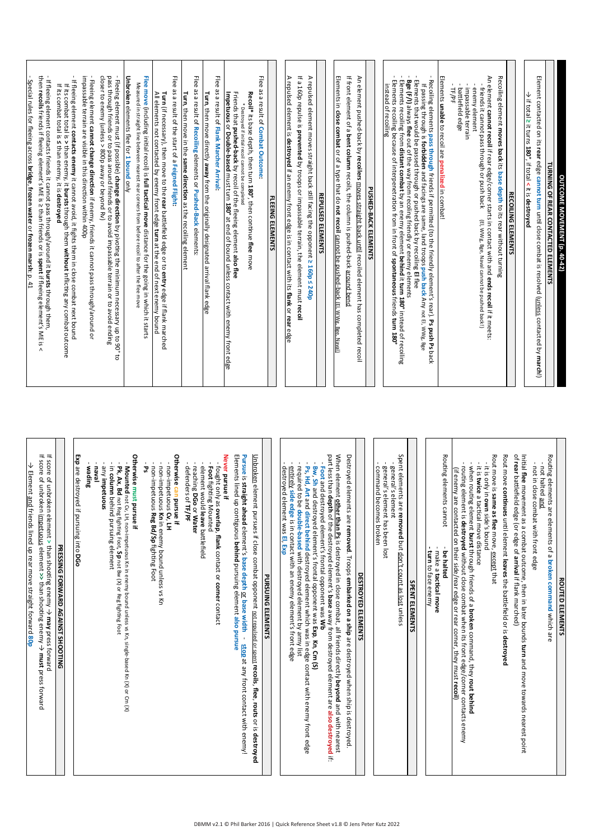| - Special rules for fleeing across bridge, frozen vater or frozen marsh: p. 41                                                                                                                                                                                                                                                                                                                                                                                                                                                                                                                                  |  |
|-----------------------------------------------------------------------------------------------------------------------------------------------------------------------------------------------------------------------------------------------------------------------------------------------------------------------------------------------------------------------------------------------------------------------------------------------------------------------------------------------------------------------------------------------------------------------------------------------------------------|--|
| the rapple treasure through the stream of the strict of the strict of the strict of the stream of the strict of the strict of the strict of the strict of the strict of the strict of $\alpha$ is $\alpha$ of $\alpha$ is $\alpha$ of $\alpha$ is<br>If fleeing element contacts friends it cannot pass through/around it bursts through them,<br>$\wedge$                                                                                                                                                                                                                                                      |  |
| If fleeing element contacts enemy it cannot avoid, it fights them in close combat next bound<br>if its combat total is > than enemy, it <b>bursts</b> through them <b>without</b> inflicting any combat outcome<br>If its combat total is ≤ than enemy, it is <b>destroyed</b>                                                                                                                                                                                                                                                                                                                                  |  |
| - Fleeing element <b>cannot change direction</b> if enemy, friends it cannot pass through/around or<br>impassable terrain are visible in this direction within 400p                                                                                                                                                                                                                                                                                                                                                                                                                                             |  |
| - Fleeing element must (if possible) <b>change direction</b> by pivoting the minimum necessary up to 90°<br>pass through friends or to pass around friends or to avoid impassable terrain or to avoid ending<br>closer to enemy (unless ><br>ಕ                                                                                                                                                                                                                                                                                                                                                                  |  |
| Unbroken elements flee for 1 bound only                                                                                                                                                                                                                                                                                                                                                                                                                                                                                                                                                                         |  |
| Flee move (including initial recoil) is full tactical move distance for the going in which it starts<br>Measured in straight line between nearest rear corners from before recoil to after the flee move                                                                                                                                                                                                                                                                                                                                                                                                        |  |
| <b>Turn</b> (if necessary), then move to the <b>rear</b> battlefield edge or to <b>entry</b> edge if flank marched<br>All elements not contacted by enemy front edge <b>turn</b> at the end of next enemy bound                                                                                                                                                                                                                                                                                                                                                                                                 |  |
| <b>Hee</b><br>as a result of the start of a Feigned Flight:                                                                                                                                                                                                                                                                                                                                                                                                                                                                                                                                                     |  |
| <b>Hee</b><br>as a result of Recoiling elements or Pushed-Back elements:<br>Turn, then move in the same direction as the recoiling element                                                                                                                                                                                                                                                                                                                                                                                                                                                                      |  |
| Turn, then move directly away from the originally designated arrival flank edge                                                                                                                                                                                                                                                                                                                                                                                                                                                                                                                                 |  |
| Flee as a result of Flank Marcher Arrival:                                                                                                                                                                                                                                                                                                                                                                                                                                                                                                                                                                      |  |
| Friends that <b>pushed-back</b> by recoil of the fleeing element <b>also flee</b><br>I <b>mpetuous</b> or <b>Double-based</b> must turn <b>180°</b> at end of bound unless contact with enemy front edge                                                                                                                                                                                                                                                                                                                                                                                                        |  |
| Recoil* its base depth, then turn 180°, then continue flee move<br>* Destroyed if initial recoil cannot be completed                                                                                                                                                                                                                                                                                                                                                                                                                                                                                            |  |
| Flee as a result of Combat Outcome:                                                                                                                                                                                                                                                                                                                                                                                                                                                                                                                                                                             |  |
| <b>FLEEING ELEMENTS</b>                                                                                                                                                                                                                                                                                                                                                                                                                                                                                                                                                                                         |  |
| A repulsed element is destroyed if an enemy front edge is in contact with its flank or rear edge                                                                                                                                                                                                                                                                                                                                                                                                                                                                                                                |  |
| If a Lighter is prevented by troopsosble terrain, the element must recoil                                                                                                                                                                                                                                                                                                                                                                                                                                                                                                                                       |  |
| A repulsed element moves straight back still facing the opponent ≥ 160p ≤ 240p                                                                                                                                                                                                                                                                                                                                                                                                                                                                                                                                  |  |
| <b>REPULSED ELEMENTS</b>                                                                                                                                                                                                                                                                                                                                                                                                                                                                                                                                                                                        |  |
| Elements in close combat or of a type that do not recoil cannot be pushed-back (EI, WWg. Bee, Naval                                                                                                                                                                                                                                                                                                                                                                                                                                                                                                             |  |
| If front element of a bent column recoils, the column is pushed-back around bend                                                                                                                                                                                                                                                                                                                                                                                                                                                                                                                                |  |
| An element pushed-back by recoilers <u>moves straight back until</u> recoiled element has completed recoil                                                                                                                                                                                                                                                                                                                                                                                                                                                                                                      |  |
| PUSHED-BACK ELEMENTS                                                                                                                                                                                                                                                                                                                                                                                                                                                                                                                                                                                            |  |
| Recoiling elements pass through friends if permitted (to the friendly element's rear). Ps push Ps back<br>Elements that would be passed through or pushed back by recoiling El flee<br>Elements recoiling from <b>distant combat</b> by an enemy element behind it turn 180° instead of recoiling<br>Elements recoiling because of interpenetration from in front of spontaneous friends turn 180°<br>Bge (F/I) always flee out of the way from recoling friendly or enemy elements<br>instead of recoiling<br>If passing through is forbidden and facings are same, land troops push back Any not El, WWg. Bge |  |
| Elements anable to recoll are penalized in compati-                                                                                                                                                                                                                                                                                                                                                                                                                                                                                                                                                             |  |
| impassable terrain<br>enemy element<br>TF/PF<br>battlefield edge                                                                                                                                                                                                                                                                                                                                                                                                                                                                                                                                                |  |
| An element cannot recoil if rear edge/corner starts in contact with and ends recoil if it meets:<br>friends it cannot pass through or push back<br>(El, WWg, Bge, Naval cannot be pushed back!)                                                                                                                                                                                                                                                                                                                                                                                                                 |  |
| Recolling element moves back its base depth to its rear without turning                                                                                                                                                                                                                                                                                                                                                                                                                                                                                                                                         |  |
| <b>RECOILING ELEMENTS</b>                                                                                                                                                                                                                                                                                                                                                                                                                                                                                                                                                                                       |  |
| $\Rightarrow$ if total $\geq$ it turns 180°, if total < it is destroyed                                                                                                                                                                                                                                                                                                                                                                                                                                                                                                                                         |  |
| Element contacted on its rear edge cannot turn until close combat is resolved ( <u>unless</u> contacted by march!)                                                                                                                                                                                                                                                                                                                                                                                                                                                                                              |  |
| TURNING OF REAR CONTACTED ELEMENTS                                                                                                                                                                                                                                                                                                                                                                                                                                                                                                                                                                              |  |
| OUTCOME MOVEMENT (p. 40-42)                                                                                                                                                                                                                                                                                                                                                                                                                                                                                                                                                                                     |  |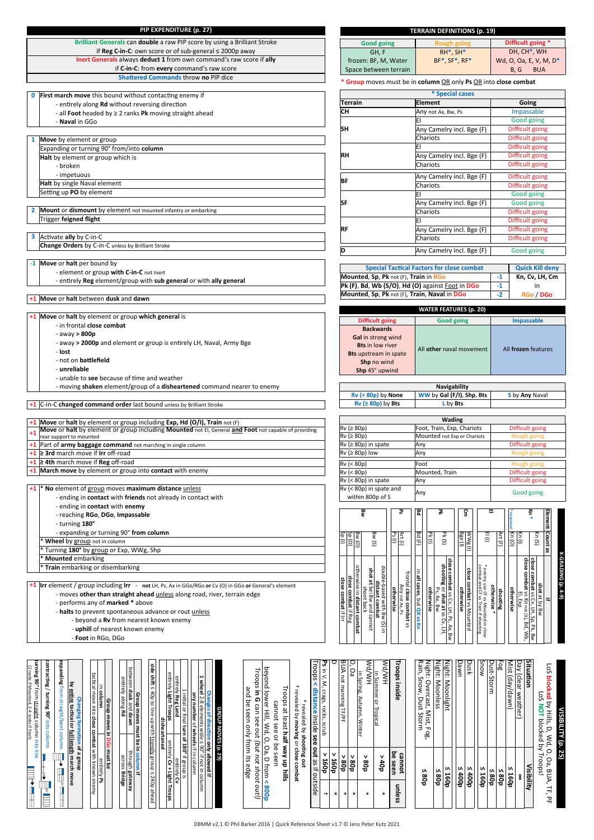| PIP EXPENDITURE (p. 27)                                                                                                                                                                                                                                                                                                                                                                                                                                                                                                                                                                                                                                                                                                       |                      |                                                          |                                                                            | <b>TERRAIN DEFINITIONS (p. 19)</b>                                                                                                                                                                                                                 |                                                                                                     |
|-------------------------------------------------------------------------------------------------------------------------------------------------------------------------------------------------------------------------------------------------------------------------------------------------------------------------------------------------------------------------------------------------------------------------------------------------------------------------------------------------------------------------------------------------------------------------------------------------------------------------------------------------------------------------------------------------------------------------------|----------------------|----------------------------------------------------------|----------------------------------------------------------------------------|----------------------------------------------------------------------------------------------------------------------------------------------------------------------------------------------------------------------------------------------------|-----------------------------------------------------------------------------------------------------|
| Brilliant Generals can double a raw PIP score by using a Brilliant Stroke<br>if Reg C-in-C: own score or of sub-general $\leq$ 2000p away                                                                                                                                                                                                                                                                                                                                                                                                                                                                                                                                                                                     |                      |                                                          | <b>Good going</b>                                                          | <b>Rough going</b>                                                                                                                                                                                                                                 | <b>Difficult going</b> *                                                                            |
| Inert Generals always deduct 1 from own command's raw score if ally                                                                                                                                                                                                                                                                                                                                                                                                                                                                                                                                                                                                                                                           |                      |                                                          | GH, F<br>frozen: BF, M, Water                                              | $RH^*$ , SH $*$<br>$BF^*$ , $SF^*$ , $RF^*$                                                                                                                                                                                                        | DH, CH <sup>*</sup> , WH<br>Wd, O, Oa, E, V, M, D*                                                  |
| if C-in-C: from every command's raw score                                                                                                                                                                                                                                                                                                                                                                                                                                                                                                                                                                                                                                                                                     |                      |                                                          | Space between terrain                                                      |                                                                                                                                                                                                                                                    | B, G<br><b>BUA</b>                                                                                  |
| Shattered Commands throw no PIP dice                                                                                                                                                                                                                                                                                                                                                                                                                                                                                                                                                                                                                                                                                          |                      |                                                          |                                                                            | * Group moves must be in column OR only Ps OR into close combat                                                                                                                                                                                    |                                                                                                     |
| First march move this bound without contacting enemy if                                                                                                                                                                                                                                                                                                                                                                                                                                                                                                                                                                                                                                                                       |                      |                                                          |                                                                            | * Special cases                                                                                                                                                                                                                                    |                                                                                                     |
| - entirely along Rd without reversing direction<br>- all <b>Foot</b> headed by $\geq 2$ ranks <b>Pk</b> moving straight ahead                                                                                                                                                                                                                                                                                                                                                                                                                                                                                                                                                                                                 |                      | Terrain<br>CН                                            |                                                                            | <b>Element</b><br>Any not Ax, Bw, Ps                                                                                                                                                                                                               | Going<br>Impassable                                                                                 |
| - Naval in GGo                                                                                                                                                                                                                                                                                                                                                                                                                                                                                                                                                                                                                                                                                                                |                      |                                                          |                                                                            |                                                                                                                                                                                                                                                    | Good going                                                                                          |
|                                                                                                                                                                                                                                                                                                                                                                                                                                                                                                                                                                                                                                                                                                                               |                      | SН                                                       |                                                                            | Any Camelry incl. Bge (F)<br>Chariots                                                                                                                                                                                                              | Difficult going<br>Difficult going                                                                  |
| Move by element or group<br>1<br>Expanding or turning 90° from/into column                                                                                                                                                                                                                                                                                                                                                                                                                                                                                                                                                                                                                                                    |                      |                                                          |                                                                            | ΙEΙ                                                                                                                                                                                                                                                | Difficult going                                                                                     |
| Halt by element or group which is                                                                                                                                                                                                                                                                                                                                                                                                                                                                                                                                                                                                                                                                                             |                      | RH                                                       |                                                                            | Any Camelry incl. Bge (F)<br>Chariots                                                                                                                                                                                                              | Difficult going                                                                                     |
| - broken<br>- impetuous                                                                                                                                                                                                                                                                                                                                                                                                                                                                                                                                                                                                                                                                                                       |                      |                                                          |                                                                            | Any Camelry incl. Bge (F)                                                                                                                                                                                                                          | Difficult going<br>Difficult going                                                                  |
| Halt by single Naval element                                                                                                                                                                                                                                                                                                                                                                                                                                                                                                                                                                                                                                                                                                  |                      | BF                                                       |                                                                            | Chariots                                                                                                                                                                                                                                           | Difficult going                                                                                     |
| Setting up PO by element                                                                                                                                                                                                                                                                                                                                                                                                                                                                                                                                                                                                                                                                                                      |                      | SF                                                       |                                                                            | ΙEΙ                                                                                                                                                                                                                                                | Good going                                                                                          |
| 2 Mount or dismount by element not mounted infantry or embarking                                                                                                                                                                                                                                                                                                                                                                                                                                                                                                                                                                                                                                                              |                      |                                                          |                                                                            | Any Camelry incl. Bge (F)<br>Chariots                                                                                                                                                                                                              | Good going<br>Difficult going                                                                       |
| Trigger feigned flight                                                                                                                                                                                                                                                                                                                                                                                                                                                                                                                                                                                                                                                                                                        |                      |                                                          |                                                                            | EI                                                                                                                                                                                                                                                 | Difficult going                                                                                     |
| <b>3</b> Activate ally by C-in-C                                                                                                                                                                                                                                                                                                                                                                                                                                                                                                                                                                                                                                                                                              |                      | RF                                                       |                                                                            | Any Camelry incl. Bge (F)<br>Chariots                                                                                                                                                                                                              | Difficult going<br>Difficult going                                                                  |
| Change Orders by C-in-C unless by Brilliant Stroke                                                                                                                                                                                                                                                                                                                                                                                                                                                                                                                                                                                                                                                                            |                      | D                                                        |                                                                            | Any Camelry incl. Bge (F)                                                                                                                                                                                                                          | Good going                                                                                          |
| -1 Move or halt per bound by                                                                                                                                                                                                                                                                                                                                                                                                                                                                                                                                                                                                                                                                                                  |                      |                                                          |                                                                            |                                                                                                                                                                                                                                                    |                                                                                                     |
| - element or group with C-in-C not Inert                                                                                                                                                                                                                                                                                                                                                                                                                                                                                                                                                                                                                                                                                      |                      |                                                          |                                                                            | <b>Special Tactical Factors for close combat</b><br>Mounted, Sp, Pk not (F), Train in RGo                                                                                                                                                          | <b>Quick Kill deny</b><br>$-1$<br>Kn, Cv, LH, Cm                                                    |
| - entirely Reg element/group with sub general or with ally general                                                                                                                                                                                                                                                                                                                                                                                                                                                                                                                                                                                                                                                            |                      |                                                          |                                                                            | Pk (F), Bd, Wb (S/O), Hd (O) against <b>Foot in DGo</b>                                                                                                                                                                                            | $-1$<br>in                                                                                          |
| +1 Move or halt between dusk and dawn                                                                                                                                                                                                                                                                                                                                                                                                                                                                                                                                                                                                                                                                                         |                      |                                                          |                                                                            | Mounted, Sp, Pk not (F), Train, Naval in DGo                                                                                                                                                                                                       | $-2$<br>RGo / DGo                                                                                   |
| $+1$ Move or halt by element or group which general is                                                                                                                                                                                                                                                                                                                                                                                                                                                                                                                                                                                                                                                                        |                      |                                                          |                                                                            | <b>WATER FEATURES (p. 20)</b>                                                                                                                                                                                                                      |                                                                                                     |
| - in frontal close combat                                                                                                                                                                                                                                                                                                                                                                                                                                                                                                                                                                                                                                                                                                     |                      |                                                          | <b>Difficult going</b><br><b>Backwards</b>                                 | <b>Good going</b>                                                                                                                                                                                                                                  | <b>Impassable</b>                                                                                   |
| - away $> 800p$<br>- away > 2000p and element or group is entirely LH, Naval, Army Bge                                                                                                                                                                                                                                                                                                                                                                                                                                                                                                                                                                                                                                        |                      |                                                          | Gal in strong wind                                                         |                                                                                                                                                                                                                                                    |                                                                                                     |
| - lost                                                                                                                                                                                                                                                                                                                                                                                                                                                                                                                                                                                                                                                                                                                        |                      |                                                          | <b>Bts</b> in low river<br><b>Bts</b> upstream in spate                    | All other naval movement                                                                                                                                                                                                                           | All frozen features                                                                                 |
| - not on battlefield                                                                                                                                                                                                                                                                                                                                                                                                                                                                                                                                                                                                                                                                                                          |                      |                                                          | Shp no wind                                                                |                                                                                                                                                                                                                                                    |                                                                                                     |
| - unreliable<br>- unable to see because of time and weather                                                                                                                                                                                                                                                                                                                                                                                                                                                                                                                                                                                                                                                                   |                      |                                                          | Shp 45° upwind                                                             |                                                                                                                                                                                                                                                    |                                                                                                     |
| - moving shaken element/group of a disheartened command nearer to enemy                                                                                                                                                                                                                                                                                                                                                                                                                                                                                                                                                                                                                                                       |                      |                                                          |                                                                            | Navigability                                                                                                                                                                                                                                       |                                                                                                     |
| +1 C-in-C changed command order last bound unless by Brilliant Stroke                                                                                                                                                                                                                                                                                                                                                                                                                                                                                                                                                                                                                                                         |                      |                                                          | Rv (< 80p) by None<br>$Rv$ ( $\geq$ 80p) by Bts                            | WW by Gal (F/I), Shp, Bts<br>L by Bts                                                                                                                                                                                                              | S by Any Naval                                                                                      |
|                                                                                                                                                                                                                                                                                                                                                                                                                                                                                                                                                                                                                                                                                                                               |                      |                                                          |                                                                            | Wading                                                                                                                                                                                                                                             |                                                                                                     |
| +1 Move or halt by element or group including Exp, Hd (O/I), Train not (F)<br>Move or halt by element or group including Mounted not El, General and Foot not capable of providing<br>$+1$                                                                                                                                                                                                                                                                                                                                                                                                                                                                                                                                    |                      | Rv (≥ 80p)                                               |                                                                            | Foot, Train, Exp, Chariots                                                                                                                                                                                                                         | Difficult going                                                                                     |
| rear support to mounted<br>+1 Part of army baggage command not marching in single column                                                                                                                                                                                                                                                                                                                                                                                                                                                                                                                                                                                                                                      |                      | Rv (≥ 80p)<br>$Rv$ ( $\geq$ 80p) in spate                |                                                                            | Mounted not Exp or Chariots<br>Any                                                                                                                                                                                                                 | Rough going<br>Difficult going                                                                      |
| $+1$ $\geq$ 3rd march move if Irr off-road                                                                                                                                                                                                                                                                                                                                                                                                                                                                                                                                                                                                                                                                                    |                      | $Rv$ ( $\geq$ 80p) low                                   |                                                                            | Any                                                                                                                                                                                                                                                | Rough going                                                                                         |
| $+1$ 2 4th march move if Reg off-road<br>+1 March move by element or group into contact with enemy                                                                                                                                                                                                                                                                                                                                                                                                                                                                                                                                                                                                                            |                      | Rv (< 80p)                                               |                                                                            | Foot                                                                                                                                                                                                                                               | Rough going                                                                                         |
|                                                                                                                                                                                                                                                                                                                                                                                                                                                                                                                                                                                                                                                                                                                               |                      | Rv (< 80p)<br>Rv (< 80p) in spate                        |                                                                            | Mounted, Train<br>Any                                                                                                                                                                                                                              | Difficult going<br>Difficult going                                                                  |
| No element of group moves maximum distance unless<br>- ending in contact with friends not already in contact with                                                                                                                                                                                                                                                                                                                                                                                                                                                                                                                                                                                                             |                      |                                                          | Rv (< 80p) in spate and<br>within 800p of S                                | Any                                                                                                                                                                                                                                                | Good going                                                                                          |
| - ending in contact with enemy                                                                                                                                                                                                                                                                                                                                                                                                                                                                                                                                                                                                                                                                                                |                      |                                                          |                                                                            |                                                                                                                                                                                                                                                    |                                                                                                     |
| - reaching RGo, DGo, Impassable                                                                                                                                                                                                                                                                                                                                                                                                                                                                                                                                                                                                                                                                                               |                      | š                                                        | వ్                                                                         | 문<br>곶<br>g                                                                                                                                                                                                                                        | ш<br>e*<br>Element Count as                                                                         |
| - turning 180°<br>- expanding or turning 90° from column                                                                                                                                                                                                                                                                                                                                                                                                                                                                                                                                                                                                                                                                      |                      |                                                          |                                                                            |                                                                                                                                                                                                                                                    |                                                                                                     |
| Wheel by group not in column                                                                                                                                                                                                                                                                                                                                                                                                                                                                                                                                                                                                                                                                                                  |                      | $\frac{30}{10}$<br>$\frac{1}{\sqrt{2}}$<br>Ξ             | Bw(S)<br>bs(1)<br>Art (I)                                                  | Bd (F)<br>$(1)$ is<br>$\frac{24}{10}$<br>Pk(S)<br>$\frac{\text{WVVE (1)}}{\text{BEE (1)}}$                                                                                                                                                         | Kn(0)<br>Art (F)<br>$\frac{1}{2}$<br>$k_0(s)$                                                       |
| Turning 180° by group or Exp, WWg, Shp<br><b>Mounted</b> embarking                                                                                                                                                                                                                                                                                                                                                                                                                                                                                                                                                                                                                                                            |                      |                                                          |                                                                            |                                                                                                                                                                                                                                                    |                                                                                                     |
| Train embarking or disembarking                                                                                                                                                                                                                                                                                                                                                                                                                                                                                                                                                                                                                                                                                               |                      |                                                          |                                                                            |                                                                                                                                                                                                                                                    | close                                                                                               |
| +1 $\ $ Irr element / group including Irr - not LH, Ps, Ax in GGo/RGo or Cv (O) in GGo or General's element                                                                                                                                                                                                                                                                                                                                                                                                                                                                                                                                                                                                                   |                      | otherwise in distant combat                              | double-based with Bw (S) in<br>distant combat<br>shot at bei Bw and cannot | close combat vs Cy, LH, Ps, Ax, Bw<br>shooting or shot at vs Cy, LH,<br>ps, Ax, Bw<br>* enemy use CF vs Mounted in close<br>combat and CF vs Train if shooting<br>close combat vs Mounted<br>in all cases, but QK vs Kn<br>frontal close combat vs | <b>X-GRADING (p. 4-9)</b><br>close combat vs Cv, LH, Sp, Pk, Bw<br>combat vs Kn not (X),<br>El, Exp |
| - moves other than straight ahead unless along road, river, terrain edge                                                                                                                                                                                                                                                                                                                                                                                                                                                                                                                                                                                                                                                      |                      | close combat if Reg<br>close combat if Irr<br>shoot back | Any not Ax, Ps<br>otherwise                                                | otherwise<br><b>otherwise</b>                                                                                                                                                                                                                      | shot at by Bw<br>otherwise*<br><b>otherwise</b><br>shooting                                         |
| - performs any of marked * above<br>- halts to prevent spontaneous advance or rout unless                                                                                                                                                                                                                                                                                                                                                                                                                                                                                                                                                                                                                                     |                      |                                                          |                                                                            |                                                                                                                                                                                                                                                    | Exp                                                                                                 |
| - beyond a Rv from nearest known enemy                                                                                                                                                                                                                                                                                                                                                                                                                                                                                                                                                                                                                                                                                        |                      |                                                          |                                                                            |                                                                                                                                                                                                                                                    |                                                                                                     |
| - uphill of nearest known enemy<br>- Foot in RGo, DGo                                                                                                                                                                                                                                                                                                                                                                                                                                                                                                                                                                                                                                                                         |                      |                                                          |                                                                            |                                                                                                                                                                                                                                                    | Bd, Wb,                                                                                             |
|                                                                                                                                                                                                                                                                                                                                                                                                                                                                                                                                                                                                                                                                                                                               |                      |                                                          |                                                                            |                                                                                                                                                                                                                                                    |                                                                                                     |
|                                                                                                                                                                                                                                                                                                                                                                                                                                                                                                                                                                                                                                                                                                                               |                      |                                                          |                                                                            |                                                                                                                                                                                                                                                    |                                                                                                     |
| turning 90° from <u>straight</u> column into line<br>2 ranks if Mounted, 2-4 ranks if Foot)                                                                                                                                                                                                                                                                                                                                                                                                                                                                                                                                                                                                                                   |                      | BUA not manning TF/PF<br>$\overline{O}$ , Oa             | HW/PM<br>HW/PM<br>Troops inside                                            | pawn<br>kond<br>Night: Overcast,<br>Night: Moonless<br>Night: Moonlight<br>Dusk                                                                                                                                                                    | Situation<br>Fog<br>Mist (day/dawn)<br>Dust-Storm<br>Day (clear weather)                            |
|                                                                                                                                                                                                                                                                                                                                                                                                                                                                                                                                                                                                                                                                                                                               |                      |                                                          |                                                                            |                                                                                                                                                                                                                                                    |                                                                                                     |
| in column                                                                                                                                                                                                                                                                                                                                                                                                                                                                                                                                                                                                                                                                                                                     |                      |                                                          |                                                                            |                                                                                                                                                                                                                                                    |                                                                                                     |
| between dusk and dawn<br>entirely Light Troops<br>entirely along Rd<br>entirely Reg Land                                                                                                                                                                                                                                                                                                                                                                                                                                                                                                                                                                                                                                      |                      |                                                          | in Summer or Tropical                                                      |                                                                                                                                                                                                                                                    |                                                                                                     |
| contracting / turning 90° into column<br>Ps in V, M, crags, rocks, scrub<br>expanding from straight/bent column<br>Frops < distance inside see<br>side shift < 40p to line up with friendly                                                                                                                                                                                                                                                                                                                                                                                                                                                                                                                                   |                      | in Spring, Autumn, Winter                                |                                                                            | Rain, Snow, Dust Storm<br>, Mist, Fog,                                                                                                                                                                                                             |                                                                                                     |
| disheartened                                                                                                                                                                                                                                                                                                                                                                                                                                                                                                                                                                                                                                                                                                                  |                      |                                                          |                                                                            |                                                                                                                                                                                                                                                    |                                                                                                     |
| cannot see or be seen<br>GROUP MOVES (p. 29)                                                                                                                                                                                                                                                                                                                                                                                                                                                                                                                                                                                                                                                                                  |                      |                                                          |                                                                            |                                                                                                                                                                                                                                                    | VISIBILITY (p. 25)                                                                                  |
| beyond lower Hill, Nd, O, Oa, D from < 800p<br>Troops in G can see out (but not shoot out!)<br>tactical move into <b>close combat</b> with known enemy<br>Changes of direction only allowed if<br>1 wheel 2-8 elements wide ≤ 90° if not in ~<br>by entire tactical or full length march move<br>t revealed by moving or close combat<br>Troops at least half way up hills<br>and be seen only from its edge<br>1 initial or final <b>turn of 180°</b> if group is<br>any number of wheels if in column<br>Group moves must be in column if<br>Changing formation of a group<br>Group moves in DGo must be<br>revealed by shooting out<br>entirely Cv + Light Troops<br>out as if outside<br>through gateway<br>$\times$ 160p | v<br>$\frac{160}{1}$ | $\frac{1}{2}$<br>v<br>v<br>80p<br>dog                    | be seen<br>cannot<br>v<br>dot                                              |                                                                                                                                                                                                                                                    | LoS blocked by Hills, D, Wd, O, Oa, BUA, TF, PF<br>LoS NOT blocked by Troops!                       |
| across Bridge<br>group < 240p ahead<br>not in column<br>entirely Ps<br>antirely <b>Cv</b><br>ú                                                                                                                                                                                                                                                                                                                                                                                                                                                                                                                                                                                                                                |                      |                                                          |                                                                            | $\frac{1}{2}$<br>$d$ 00 $b >$<br>5160p<br><br>160p<br>$\frac{1}{2}$ 80p<br>$\frac{1}{2}$ 80p                                                                                                                                                       | Visibility<br>S 160p<br>$\frac{1}{2}$ 80p<br>$\frac{1}{2}$ 80p                                      |
| F<br>III-l                                                                                                                                                                                                                                                                                                                                                                                                                                                                                                                                                                                                                                                                                                                    |                      |                                                          |                                                                            |                                                                                                                                                                                                                                                    |                                                                                                     |
| $^{+}$                                                                                                                                                                                                                                                                                                                                                                                                                                                                                                                                                                                                                                                                                                                        | $\ast$               | ₩<br>∗                                                   | unless<br>$\ast$                                                           |                                                                                                                                                                                                                                                    |                                                                                                     |
|                                                                                                                                                                                                                                                                                                                                                                                                                                                                                                                                                                                                                                                                                                                               |                      |                                                          |                                                                            |                                                                                                                                                                                                                                                    |                                                                                                     |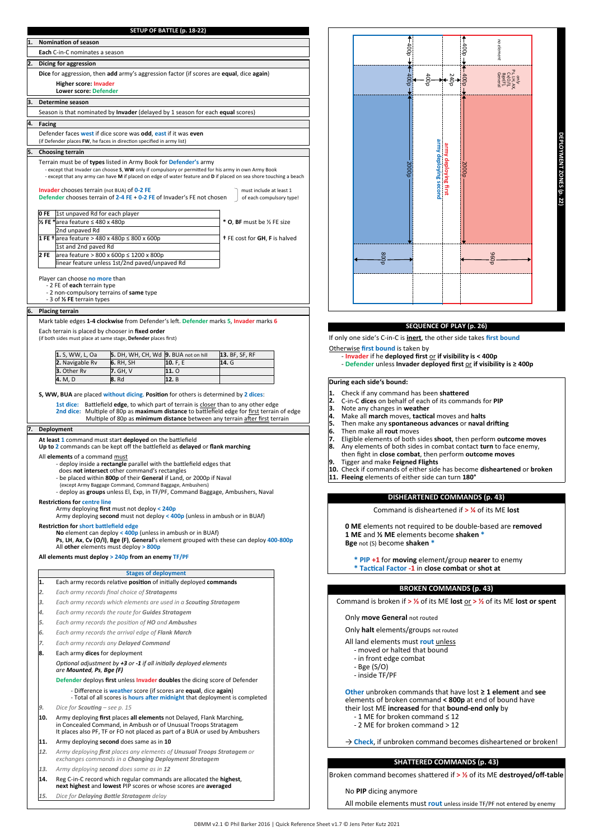| 1. |                                                                                                   | <b>Nomination of season</b>                                                                                                                                              |                                                           |                                                                                                                                         |                                                                                                                                                                                      |  |
|----|---------------------------------------------------------------------------------------------------|--------------------------------------------------------------------------------------------------------------------------------------------------------------------------|-----------------------------------------------------------|-----------------------------------------------------------------------------------------------------------------------------------------|--------------------------------------------------------------------------------------------------------------------------------------------------------------------------------------|--|
|    |                                                                                                   | Each C-in-C nominates a season                                                                                                                                           |                                                           |                                                                                                                                         |                                                                                                                                                                                      |  |
| 2. |                                                                                                   | Dicing for aggression                                                                                                                                                    |                                                           |                                                                                                                                         |                                                                                                                                                                                      |  |
|    |                                                                                                   | Dice for aggression, then add army's aggression factor (if scores are equal, dice again)                                                                                 |                                                           |                                                                                                                                         |                                                                                                                                                                                      |  |
|    |                                                                                                   | <b>Higher score: Invader</b>                                                                                                                                             |                                                           |                                                                                                                                         |                                                                                                                                                                                      |  |
|    |                                                                                                   | <b>Lower score: Defender</b>                                                                                                                                             |                                                           |                                                                                                                                         |                                                                                                                                                                                      |  |
| 3. |                                                                                                   | Determine season                                                                                                                                                         |                                                           |                                                                                                                                         |                                                                                                                                                                                      |  |
|    |                                                                                                   | Season is that nominated by Invader (delayed by 1 season for each equal scores)                                                                                          |                                                           |                                                                                                                                         |                                                                                                                                                                                      |  |
| 4. | Facing                                                                                            |                                                                                                                                                                          |                                                           |                                                                                                                                         |                                                                                                                                                                                      |  |
|    |                                                                                                   | Defender faces west if dice score was odd, east if it was even                                                                                                           |                                                           |                                                                                                                                         |                                                                                                                                                                                      |  |
|    |                                                                                                   | (if Defender places FW, he faces in direction specified in army list)                                                                                                    |                                                           |                                                                                                                                         |                                                                                                                                                                                      |  |
| 5. |                                                                                                   | <b>Choosing terrain</b>                                                                                                                                                  |                                                           |                                                                                                                                         |                                                                                                                                                                                      |  |
|    |                                                                                                   | Terrain must be of types listed in Army Book for Defender's army<br>- except that Invader can choose S, WW only if compulsory or permitted for his army in own Army Book |                                                           |                                                                                                                                         |                                                                                                                                                                                      |  |
|    |                                                                                                   | - except that any army can have M if placed on edge of water feature and D if placed on sea shore touching a beach                                                       |                                                           |                                                                                                                                         |                                                                                                                                                                                      |  |
|    |                                                                                                   | <b>Invader</b> chooses terrain (not BUA) of 0-2 FE                                                                                                                       |                                                           |                                                                                                                                         | must include at least 1                                                                                                                                                              |  |
|    |                                                                                                   | Defender chooses terrain of 2-4 FE + 0-2 FE of Invader's FE not chosen                                                                                                   |                                                           |                                                                                                                                         | of each compulsory type!                                                                                                                                                             |  |
|    | 0 FE                                                                                              | 1st unpaved Rd for each player                                                                                                                                           |                                                           |                                                                                                                                         |                                                                                                                                                                                      |  |
|    |                                                                                                   | ½ FE *area feature ≤ 480 x 480p                                                                                                                                          |                                                           |                                                                                                                                         | * O, BF must be 1/2 FE size                                                                                                                                                          |  |
|    |                                                                                                   | 2nd unpaved Rd                                                                                                                                                           |                                                           |                                                                                                                                         |                                                                                                                                                                                      |  |
|    |                                                                                                   | 1 FE + area feature > 480 x 480p ≤ 800 x 600p                                                                                                                            |                                                           |                                                                                                                                         | + FE cost for GH, F is halved                                                                                                                                                        |  |
|    |                                                                                                   | 1st and 2nd paved Rd                                                                                                                                                     |                                                           |                                                                                                                                         |                                                                                                                                                                                      |  |
|    | 2 FE<br>area feature > 800 x 600p ≤ 1200 x 800p<br>linear feature unless 1st/2nd paved/unpaved Rd |                                                                                                                                                                          |                                                           |                                                                                                                                         |                                                                                                                                                                                      |  |
|    |                                                                                                   |                                                                                                                                                                          |                                                           |                                                                                                                                         |                                                                                                                                                                                      |  |
|    |                                                                                                   | Player can choose no more than<br>- 2 FE of each terrain type                                                                                                            |                                                           |                                                                                                                                         |                                                                                                                                                                                      |  |
|    |                                                                                                   | - 2 non-compulsory terrains of same type                                                                                                                                 |                                                           |                                                                                                                                         |                                                                                                                                                                                      |  |
|    |                                                                                                   | - 3 of 1/2 FE terrain types                                                                                                                                              |                                                           |                                                                                                                                         |                                                                                                                                                                                      |  |
| 6. |                                                                                                   | <b>Placing terrain</b>                                                                                                                                                   |                                                           |                                                                                                                                         |                                                                                                                                                                                      |  |
|    |                                                                                                   | Mark table edges 1-4 clockwise from Defender's left. Defender marks 5, Invader marks 6                                                                                   |                                                           |                                                                                                                                         |                                                                                                                                                                                      |  |
|    |                                                                                                   | Each terrain is placed by chooser in fixed order<br>(if both sides must place at same stage, Defender places first)                                                      |                                                           |                                                                                                                                         |                                                                                                                                                                                      |  |
|    |                                                                                                   |                                                                                                                                                                          |                                                           |                                                                                                                                         |                                                                                                                                                                                      |  |
|    |                                                                                                   | 1. S, WW, L, Oa                                                                                                                                                          | 5. DH, WH, CH, Wd 9. BUA not on hill                      |                                                                                                                                         | 13. BF, SF, RF                                                                                                                                                                       |  |
|    |                                                                                                   | 2. Navigable Rv<br>3. Other Rv                                                                                                                                           | 6. RH, SH<br>7. GH, V                                     | 10. F, E<br>11.0                                                                                                                        | 14. G                                                                                                                                                                                |  |
|    |                                                                                                   | 4. M, D                                                                                                                                                                  | <b>8. Rd</b>                                              | 12. B                                                                                                                                   |                                                                                                                                                                                      |  |
|    |                                                                                                   |                                                                                                                                                                          |                                                           |                                                                                                                                         |                                                                                                                                                                                      |  |
|    |                                                                                                   | S, WW, BUA are placed without dicing. Position for others is determined by 2 dices:                                                                                      |                                                           |                                                                                                                                         |                                                                                                                                                                                      |  |
|    |                                                                                                   |                                                                                                                                                                          |                                                           |                                                                                                                                         | 1st dice: Battlefield edge, to which part of terrain is closer than to any other edge<br>2nd dice: Multiple of 80p as maximum distance to battlefield edge for first terrain of edge |  |
|    |                                                                                                   |                                                                                                                                                                          |                                                           |                                                                                                                                         |                                                                                                                                                                                      |  |
|    |                                                                                                   |                                                                                                                                                                          |                                                           |                                                                                                                                         | Multiple of 80p as minimum distance between any terrain after first terrain                                                                                                          |  |
|    |                                                                                                   | 7. Deployment                                                                                                                                                            |                                                           |                                                                                                                                         |                                                                                                                                                                                      |  |
|    |                                                                                                   | At least 1 command must start deployed on the battlefield                                                                                                                |                                                           |                                                                                                                                         |                                                                                                                                                                                      |  |
|    |                                                                                                   | Up to 2 commands can be kept off the battlefield as delayed or flank marching                                                                                            |                                                           |                                                                                                                                         |                                                                                                                                                                                      |  |
|    |                                                                                                   | All elements of a command must                                                                                                                                           |                                                           |                                                                                                                                         |                                                                                                                                                                                      |  |
|    |                                                                                                   |                                                                                                                                                                          | does not intersect other command's rectangles             | - deploy inside a rectangle parallel with the battlefield edges that                                                                    |                                                                                                                                                                                      |  |
|    |                                                                                                   |                                                                                                                                                                          |                                                           | - be placed within 800p of their General if Land, or 2000p if Naval                                                                     |                                                                                                                                                                                      |  |
|    |                                                                                                   |                                                                                                                                                                          | (except Army Baggage Command, Command Baggage, Ambushers) |                                                                                                                                         | - deploy as groups unless El, Exp, in TF/PF, Command Baggage, Ambushers, Naval                                                                                                       |  |
|    |                                                                                                   | <b>Restrictions for centre line</b>                                                                                                                                      |                                                           |                                                                                                                                         |                                                                                                                                                                                      |  |
|    |                                                                                                   |                                                                                                                                                                          | Army deploying first must not deploy < 240p               | Army deploying second must not deploy < 400p (unless in ambush or in BUAf)                                                              |                                                                                                                                                                                      |  |
|    |                                                                                                   | <b>Restriction for short battlefield edge</b>                                                                                                                            |                                                           |                                                                                                                                         |                                                                                                                                                                                      |  |
|    |                                                                                                   |                                                                                                                                                                          |                                                           | No element can deploy < 400p (unless in ambush or in BUAf)                                                                              |                                                                                                                                                                                      |  |
|    |                                                                                                   | All other elements must deploy > 800p                                                                                                                                    |                                                           |                                                                                                                                         | Ps, LH, Ax, Cv (O/I), Bge (F), General's element grouped with these can deploy 400-800p                                                                                              |  |
|    |                                                                                                   | All elements must deploy > 240p from an enemy TF/PF                                                                                                                      |                                                           |                                                                                                                                         |                                                                                                                                                                                      |  |
|    |                                                                                                   |                                                                                                                                                                          |                                                           |                                                                                                                                         |                                                                                                                                                                                      |  |
|    |                                                                                                   |                                                                                                                                                                          | <b>Stages of deployment</b>                               |                                                                                                                                         |                                                                                                                                                                                      |  |
|    | 1.                                                                                                |                                                                                                                                                                          |                                                           | Each army records relative position of initially deployed commands                                                                      |                                                                                                                                                                                      |  |
|    | 2.                                                                                                |                                                                                                                                                                          | Each army records final choice of Stratagems              |                                                                                                                                         |                                                                                                                                                                                      |  |
|    | 3.                                                                                                |                                                                                                                                                                          |                                                           | Each army records which elements are used in a Scouting Stratagem                                                                       |                                                                                                                                                                                      |  |
|    | 4.<br>5.                                                                                          |                                                                                                                                                                          | Each army records the route for Guides Stratagem          |                                                                                                                                         |                                                                                                                                                                                      |  |
|    | 6.                                                                                                |                                                                                                                                                                          | Each army records the position of HO and Ambushes         |                                                                                                                                         |                                                                                                                                                                                      |  |
|    | 7.                                                                                                |                                                                                                                                                                          | Each army records the arrival edge of Flank March         |                                                                                                                                         |                                                                                                                                                                                      |  |
|    | 8.                                                                                                | Each army dices for deployment                                                                                                                                           | Each army records any Delayed Command                     |                                                                                                                                         |                                                                                                                                                                                      |  |
|    |                                                                                                   |                                                                                                                                                                          |                                                           | Optional adjustment by +3 or -1 if all initially deployed elements                                                                      |                                                                                                                                                                                      |  |
|    |                                                                                                   | are Mounted, Ps, Bge (F)                                                                                                                                                 |                                                           |                                                                                                                                         |                                                                                                                                                                                      |  |
|    |                                                                                                   |                                                                                                                                                                          |                                                           | Defender deploys first unless Invader doubles the dicing score of Defender                                                              |                                                                                                                                                                                      |  |
|    |                                                                                                   |                                                                                                                                                                          |                                                           | - Difference is weather score (if scores are equal, dice again)                                                                         |                                                                                                                                                                                      |  |
|    | 9.                                                                                                | Dice for <b>Scouting</b> - see p. 15                                                                                                                                     |                                                           | - Total of all scores is <b>hours after midnight</b> that deployment is completed                                                       |                                                                                                                                                                                      |  |
|    | 10.                                                                                               |                                                                                                                                                                          |                                                           |                                                                                                                                         |                                                                                                                                                                                      |  |
|    |                                                                                                   |                                                                                                                                                                          |                                                           | Army deploying first places all elements not Delayed, Flank Marching,<br>in Concealed Command, in Ambush or of Unusual Troops Stratagem |                                                                                                                                                                                      |  |
|    |                                                                                                   |                                                                                                                                                                          |                                                           | It places also PF, TF or FO not placed as part of a BUA or used by Ambushers                                                            |                                                                                                                                                                                      |  |
|    | 11.                                                                                               |                                                                                                                                                                          | Army deploying second does same as in 10                  |                                                                                                                                         |                                                                                                                                                                                      |  |
|    | 12.                                                                                               | Army deploying first places any elements of Unusual Troops Stratagem or                                                                                                  |                                                           | exchanges commands in a Changing Deployment Stratagem                                                                                   |                                                                                                                                                                                      |  |
|    | 13.                                                                                               |                                                                                                                                                                          | Army deploying second does same as in 12                  |                                                                                                                                         |                                                                                                                                                                                      |  |
|    | 14.                                                                                               |                                                                                                                                                                          |                                                           | Reg C-in-C record which regular commands are allocated the highest,                                                                     |                                                                                                                                                                                      |  |
|    |                                                                                                   |                                                                                                                                                                          |                                                           | next highest and lowest PIP scores or whose scores are averaged                                                                         |                                                                                                                                                                                      |  |

**SETUP OF BATTLE (p. 18-22)**



**DEPLOYMENT ZONES (p. 22)**

#### **SEQUENCE OF PLAY (p. 26)**

If only one side's C-in-C is **inert**, the other side takes first bound

- Otherwise **rst bound** is taken by **Invader** if he **deployed rst** or **if visibility is < 400p**
	- **Defender** unless **Invader deployed rst** or **if visibility is ≥ 400p**

#### **During each side's bound:**

- 
- Check if any command has been **sha�ered** C-in-C **dices** on behalf of each of its commands for **PIP**
- Note any changes in **weather**
- Make all **march** moves, **tac�cal** moves and **halts**
- Then make any **spontaneous advances** or **naval dri�ing** Then make all **rout** moves
- 
- **1. 2. 3. 4. 5. 6. 7. 8.** Eligible elements of both sides **shoot**, then perform **outcome moves** Any elements of both sides in combat contact **turn** to face enemy,
- then ght in **close combat**, then perform **outcome moves** Tigger and make **Feigned Flights**
- 
- **9.** Tigger and make Feigned Flights<br>**10.** Check if commands of either side has becom<br>**11. Fleeing** elements of either side can turn **180°** Check if commands of either side has become **disheartened** or **broken**
	-

#### **DISHEARTENED COMMANDS (p. 43)**

Command is disheartened if **> ¼** of its ME **lost**

**0 ME** elements not required to be double-based are **removed 1 ME** and **½ ME** elements become **shaken \* Bge** not (S) become **shaken** 

- **\* PIP +1** for **moving** element/group **nearer** to enemy
- **\* Tac�cal Factor -1** in **close combat** or **shot at**
	-

## **BROKEN COMMANDS (p. 43)**

Command is broken if **> ⅓** of its ME **lost** or **> ½** of its ME **lost or spent**

Only **move General** not routed

Only **halt** elements/groups not routed

All land elements must **rout** unless

- moved or halted that bound
- in front edge combat
- Bge (S/O)
- inside TF/PF

**Other** unbroken commands that have lost **≥ 1 element** and **see** elements of broken command **< 800p** at end of bound have their lost ME **increased** for that **bound-end only** by

- 1 ME for broken command ≤ 12
- 2 ME for broken command > 12
- 

→ **Check**, if unbroken command becomes disheartened or broken!

### **SHATTERED COMMANDS (p. 43)**

Broken command becomes sha�ered if **> ½** of its ME **destroyed/off-table**

No **PIP** dicing anymore

All mobile elements must **rout** unless inside TF/PF not entered by enemy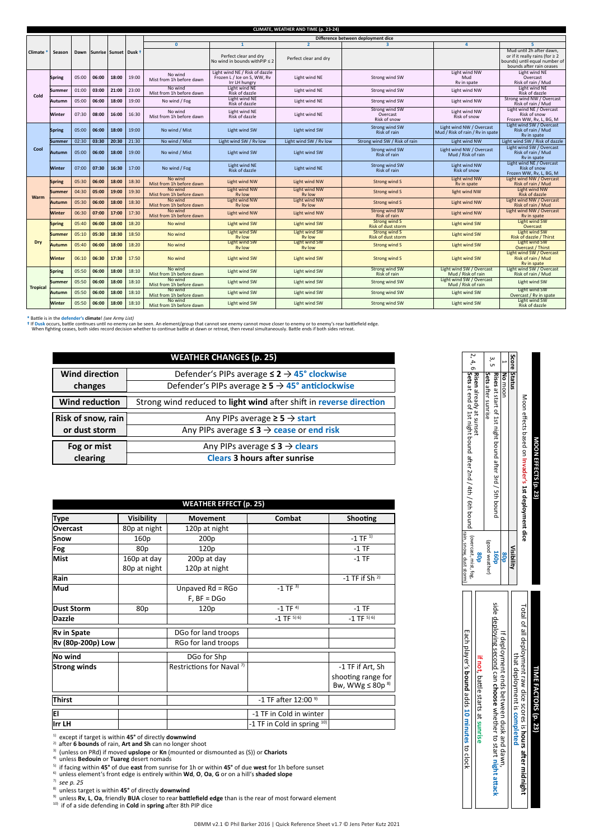|                 | CLIMATE. WEATHER AND TIME (p. 23-24) |       |                              |       |       |                                     |                                                                                |                                       |                                            |                                                              |                                                                                                                              |
|-----------------|--------------------------------------|-------|------------------------------|-------|-------|-------------------------------------|--------------------------------------------------------------------------------|---------------------------------------|--------------------------------------------|--------------------------------------------------------------|------------------------------------------------------------------------------------------------------------------------------|
|                 |                                      |       |                              |       |       |                                     |                                                                                |                                       | Difference between deployment dice         |                                                              |                                                                                                                              |
|                 |                                      |       |                              |       |       | $\mathbf{0}$                        | $\mathbf{1}$                                                                   | $\overline{2}$                        | $\overline{\mathbf{z}}$                    |                                                              |                                                                                                                              |
| Climate         | Season                               |       | Dawn Sunrise Sunset   Dusk 1 |       |       |                                     | Perfect clear and drv<br>No wind in bounds with PIP $\leq 2$                   | Perfect clear and dry                 |                                            |                                                              | Mud until 2h after dawn.<br>or if it really rains (for $\geq 2$<br>bounds) until equal number of<br>bounds after rain ceases |
|                 | <b>Spring</b>                        | 05:00 | 06:00                        | 18:00 | 19:00 | No wind<br>Mist from 1h before dawn | Light wind NE / Risk of dazzle<br>Frozen L / Ice on S, WW, Rv<br>Irr LH hungry | Light wind NE                         | Strong wind SW                             | Light wind NW<br>Mud<br>Rv in spate                          | Light wind NE<br>Overcast<br>Risk of rain / Mud                                                                              |
| Cold            | <b>Summer</b>                        | 01:00 | 03:00                        | 21:00 | 23:00 | No wind<br>Mist from 1h before dawn | Light wind NE<br>Risk of dazzle                                                | Light wind NE                         | Strong wind SW                             | Light wind NW                                                | Light wind NE<br>Risk of dazzle                                                                                              |
|                 | Autumn                               | 05:00 | 06:00                        | 18:00 | 19:00 | No wind / Fog                       | Light wind NE<br>Risk of dazzle                                                | Light wind NE                         | Strong wind SW                             | Light wind NW                                                | Strong wind NW / Overcast<br>Risk of rain / Mud                                                                              |
|                 | Winter                               | 07:30 | 08:00                        | 16:00 | 16:30 | No wind<br>Mist from 1h before dawn | Light wind NE<br>Risk of dazzle                                                | Light wind NE                         | Strong wind SW<br>Overcast<br>Risk of snow | Light wind NW<br>Risk of snow                                | Light wind NE / Overcast<br>Risk of snow<br>Frozen WW, Rv, L, BG, M                                                          |
|                 | <b>Spring</b>                        | 05:00 | 06:00                        | 18:00 | 19:00 | No wind / Mist                      | Light wind SW                                                                  | Light wind SW                         | Strong wind SW<br>Risk of rain             | Light wind NW / Overcast<br>Mud / Risk of rain / Ry in spate | Light wind SW / Overcast<br>Risk of rain / Mud<br>Ry in spate                                                                |
|                 | <b>Summer</b>                        | 02:30 | 03:30                        | 20:30 | 21:30 | No wind / Mist                      | Light wind SW / Ry low                                                         | Light wind SW / Ry low                | Strong wind SW / Risk of rain              | Light wind NW                                                | Light wind SW / Risk of dazzle                                                                                               |
| Cool            | <b>Autumn</b>                        | 05:00 | 06:00                        | 18:00 | 19:00 | No wind / Mist                      | Light wind SW                                                                  | Light wind SW                         | Strong wind SW<br>Risk of rain             | Light wind NW / Overcast<br>Mud / Risk of rain               | Light wind SW / Overcast<br>Risk of rain / Mud<br>Rv in spate                                                                |
|                 | Winter                               | 07:00 | 07:30                        | 16:30 | 17:00 | No wind / Fog                       | Light wind NE<br>Risk of dazzle                                                | Light wind NE                         | Strong wind SW<br>Risk of rain             | Light wind NW<br>Risk of snow                                | Light wind NE / Overcast<br><b>Risk of snow</b><br>Frozen WW, Rv, L, BG, M                                                   |
|                 | <b>Spring</b>                        | 05:30 | 06:00                        | 18:00 | 18:30 | No wind<br>Mist from 1h before dawn | Light wind NW                                                                  | Light wind NW                         | Strong wind S                              | Light wind NW<br>Ry in spate                                 | Light wind NW / Overcast<br>Risk of rain / Mud                                                                               |
| Warm            | Summer                               | 04:30 | 05:00                        | 19:00 | 19:30 | No wind<br>Mist from 1h before dawn | Light wind NW<br><b>Ry low</b>                                                 | Light wind NW<br><b>Ry low</b>        | Strong wind S                              | light wind NW                                                | Light wind NW<br>Risk of dazzle                                                                                              |
|                 | <b>Autumn</b>                        | 05:30 | 06:00                        | 18:00 | 18:30 | No wind<br>Mist from 1h before dawn | Light wind NW<br><b>Rv low</b>                                                 | Light wind NW<br><b>Ry low</b>        | Strong wind S                              | Light wind NW                                                | Light wind NW / Overcast<br>Risk of rain / Mud                                                                               |
|                 | Winter                               | 06:30 | 07:00                        | 17:00 | 17:30 | No wind<br>Mist from 1h before dawn | Light wind NW                                                                  | Light wind NW                         | <b>Strong wind SW</b><br>Risk of rain      | <b>Light wind NW</b>                                         | Light wind NW / Overcast<br>Rv in spate                                                                                      |
|                 | <b>Spring</b>                        | 05:40 | 06:00                        | 18:00 | 18:20 | No wind                             | <b>Light wind SW</b>                                                           | Light wind SW                         | Strong wind S<br><b>Risk of dust storm</b> | Light wind SW                                                | <b>Light wind SW</b><br>Overcast                                                                                             |
|                 | <b>Summer</b>                        | 05:10 | 05:30                        | 18:30 | 18:50 | No wind                             | <b>Light wind SW</b><br><b>Rv low</b>                                          | <b>Light wind SW</b><br><b>Ry low</b> | Strong wind S<br><b>Risk of dust storm</b> | <b>Light wind SW</b>                                         | <b>Light wind SW</b><br>Risk of dazzle / Thirst                                                                              |
| Drv             | <b>Autumn</b>                        | 05:40 | 06:00                        | 18:00 | 18:20 | No wind                             | Light wind SW<br><b>Ry low</b>                                                 | <b>Light wind SW</b><br><b>Ry low</b> | Strong wind S                              | Light wind SW                                                | Light wind SW<br>Overcast / Thirst                                                                                           |
|                 | Winter                               | 06:10 | 06:30                        | 17:30 | 17:50 | No wind                             | <b>Light wind SW</b>                                                           | <b>Light wind SW</b>                  | <b>Strong wind S</b>                       | Light wind SW                                                | Light wind SW / Overcast<br>Risk of rain / Mud<br>Ry in spate                                                                |
|                 | <b>Spring</b>                        | 05:50 | 06:00                        | 18:00 | 18:10 | No wind<br>Mist from 1h before dawn | Light wind SW                                                                  | Light wind SW                         | Strong wind SW<br>Risk of rain             | Light wind SW / Overcast<br>Mud / Risk of rain               | Light wind SW / Overcast<br>Risk of rain / Mud                                                                               |
| <b>Tropical</b> | <b>Summer</b>                        | 05:50 | 06:00                        | 18:00 | 18:10 | No wind<br>Mist from 1h before dawn | Light wind SW                                                                  | Light wind SW                         | Strong wind SW                             | Light wind SW / Overcast<br>Mud / Risk of rain               | Light wind SW                                                                                                                |
|                 | Autumn                               | 05:50 | 06:00                        | 18:00 | 18:10 | No wind<br>Mist from 1h before dawn | Light wind SW                                                                  | Light wind SW                         | <b>Strong wind SW</b>                      | Light wind SW                                                | Light wind SW<br>Overcast / Rv in spate                                                                                      |
|                 | <b>Winter</b>                        | 05:50 | 06:00                        | 18:00 | 18:10 | No wind<br>Mist from 1h before dawn | Light wind SW                                                                  | Light wind SW                         | Strong wind SW                             | Light wind SW                                                | Light wind SW<br>Risk of dazzle                                                                                              |

\* Battle is in the defender's **climate**! *(see Army List)*<br>\* If Dusk occurs, battle continues until no enemy can be seen. An element/group that cannot see enemy or to enemy or to enemy's rear battlefield edge.<br>When fightin

|                       | <b>WEATHER CHANGES (p. 25)</b>                                     |
|-----------------------|--------------------------------------------------------------------|
| <b>Wind direction</b> | Defender's PIPs average $\leq 2 \rightarrow 45^{\circ}$ clockwise  |
| changes               | Defender's PIPs average $\geq$ 5 $\rightarrow$ 45° anticlockwise   |
| <b>Wind reduction</b> | Strong wind reduced to light wind after shift in reverse direction |
| Risk of snow, rain    | Any PIPs average $\geq$ 5 $\rightarrow$ start                      |
| or dust storm         | Any PIPs average $\leq 3 \rightarrow$ cease or end risk            |
| Fog or mist           | Any PIPs average $\leq$ 3 $\rightarrow$ clears                     |
| clearing              | <b>Clears 3 hours after sunrise</b>                                |

| <b>WEATHER EFFECT (p. 25)</b> |                 |                                      |                                 |                                                 |  |  |  |
|-------------------------------|-----------------|--------------------------------------|---------------------------------|-------------------------------------------------|--|--|--|
| <b>Type</b>                   | Visibility      | <b>Movement</b>                      | Combat                          | Shooting                                        |  |  |  |
| <b>Overcast</b>               | 80p at night    | 120p at night                        |                                 |                                                 |  |  |  |
| Snow                          | 160p            | 200p                                 |                                 | $-1$ TF $^{1)}$                                 |  |  |  |
| Fog                           | 80 <sub>p</sub> | 120p                                 |                                 | $-1$ TF                                         |  |  |  |
| Mist                          | 160p at day     | 200p at day                          |                                 | $-1$ TF                                         |  |  |  |
|                               | 80p at night    | 120p at night                        |                                 |                                                 |  |  |  |
| Rain                          |                 |                                      |                                 | -1 TF if Sh $2)$                                |  |  |  |
| Mud                           |                 | Unpaved $Rd = RGo$                   | $-1$ TF $^{3)}$                 |                                                 |  |  |  |
|                               |                 | $F$ , $BF = DGO$                     |                                 |                                                 |  |  |  |
| <b>Dust Storm</b>             | 80p             | 120 <sub>p</sub>                     | $-1$ TF $4$ )                   | $-1$ TF                                         |  |  |  |
| Dazzle                        |                 |                                      | $-1$ TF $^{5)}$ <sup>6</sup> )  | $-1$ TF $^{5)}$ <sup>6</sup> )                  |  |  |  |
| Rv in Spate                   |                 | DGo for land troops                  |                                 |                                                 |  |  |  |
| Rv (80p-200p) Low             |                 | RGo for land troops                  |                                 |                                                 |  |  |  |
| No wind                       |                 | DGo for Shp                          |                                 |                                                 |  |  |  |
| <b>Strong winds</b>           |                 | Restrictions for Naval <sup>7)</sup> |                                 | -1 TF if Art, Sh                                |  |  |  |
|                               |                 |                                      |                                 | shooting range for<br>Bw, WWg $\leq$ 80p $^{8}$ |  |  |  |
| Thirst                        |                 |                                      | -1 TF after 12:00 <sup>9)</sup> |                                                 |  |  |  |
| ΙEΙ.                          |                 |                                      | -1 TF in Cold in winter         |                                                 |  |  |  |
| lırr LH                       |                 |                                      | -1 TF in Cold in spring $10$    |                                                 |  |  |  |

1) except if target is within **45°** of directly **downwind** 2) a�er **6 bounds** of rain, **Art and Sh** can no longer shoot

<sup>3)</sup> (unless on PRd) if moved **upslope** or **Kn** (mounted or dismounted as (S)) or **Chariots**<br><sup>4)</sup> unless **Bedouin** or **Tuareg** desert nomads

<sup>5)</sup> if facing within **45°** of due **east** from sunrise for 1h or within **45°** of due **west** for 1h before sunset<br><sup>6)</sup> unless element's front edge is entirely within **Wd, O, Oa, G** or on a hill's **shaded slope** 

<sup>7)</sup> *see p. 25*<br><sup>8)</sup> unless target is within **45°** of directly **downwind**<br><sup>9)</sup> unless **Rv, L, Oa**, friendly **BUA** closer to rear **battlefield edge** than is the rear of most forward element<br><sup>19)</sup> if of a side defending in

| MOON EFFECTS (p. 23)                                                          |                        | TIME FACTORS (p. 23)                                            |
|-------------------------------------------------------------------------------|------------------------|-----------------------------------------------------------------|
| Moon effects based on Invader's 1st deployment dice                           |                        | Total of all deployment raw dice scores is hours after midnight |
| Score Status                                                                  | Visibility             | that deployment is completed                                    |
| No moon                                                                       |                        | If deployment ends between dusk and dawn,                       |
| Sets after sunrise<br>Rises at start of 1st night bound after 3rd / 5th bound | good weather           | side deploying second can choose whether to start night attack  |
| Risen already at sunset                                                       | ãos                    | if not, battle starts at sunrise                                |
|                                                                               | rain, snow, dust storn | Each player's <b>bound</b> adds 10 minutes to clock             |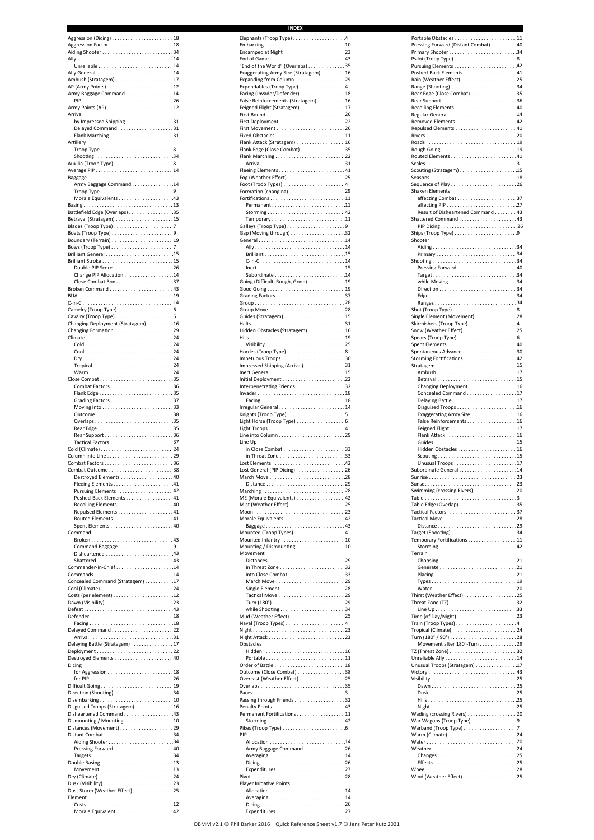| Aggression (Dicing)  18            | Elephants (Troop Type) 4              |    |
|------------------------------------|---------------------------------------|----|
| Aiding Shooter 34                  | <b>Encamped at Night</b>              | 23 |
|                                    |                                       |    |
|                                    | "End of the World" (Overlaps) 35      |    |
|                                    | Exaggerating Army Size (Stratagem) 16 |    |
|                                    |                                       |    |
|                                    | Expendables (Troop Type)  4           |    |
| Army Baggage Command 14            | Facing (Invader/Defender) 18          |    |
|                                    | False Reinforcements (Stratagem)  16  |    |
|                                    | Feigned Flight (Stratagem) 17         |    |
| Arrival                            |                                       |    |
| by Impressed Shipping 31           |                                       |    |
|                                    |                                       |    |
| Flank Marching 31<br>Artillery     | Flank Attack (Stratagem)  16          |    |
|                                    | Flank Edge (Close Combat) 35          |    |
|                                    |                                       |    |
|                                    |                                       |    |
|                                    | Fleeing Elements 41                   |    |
| Baggage                            | Fog (Weather Effect) 25               |    |
| Army Baggage Command 14            |                                       |    |
|                                    |                                       |    |
|                                    |                                       |    |
|                                    |                                       |    |
| Battlefield Edge (Overlaps) 35     |                                       |    |
|                                    |                                       |    |
|                                    |                                       |    |
|                                    |                                       |    |
|                                    |                                       |    |
|                                    |                                       |    |
|                                    |                                       |    |
|                                    |                                       |    |
|                                    |                                       |    |
|                                    | Going (Difficult, Rough, Good) 19     |    |
|                                    |                                       |    |
|                                    |                                       |    |
|                                    |                                       |    |
|                                    |                                       |    |
| Changing Deployment (Stratagem) 16 |                                       |    |
|                                    | Hidden Obstacles (Stratagem) 16       |    |
|                                    |                                       |    |
|                                    |                                       |    |
|                                    |                                       |    |
|                                    |                                       |    |
|                                    | Impressed Shipping (Arrival) 31       |    |
| Warm24                             |                                       |    |
|                                    |                                       |    |
|                                    | Invader18                             |    |
|                                    |                                       |    |
|                                    | Irregular General 14                  |    |
|                                    |                                       |    |
|                                    |                                       |    |
|                                    |                                       |    |
|                                    |                                       |    |
|                                    | Line Up                               |    |
|                                    |                                       |    |
|                                    |                                       |    |
| Combat Outcome  38                 | Lost General (PIP Dicing)  26         |    |
|                                    |                                       |    |
|                                    |                                       |    |
|                                    |                                       |    |
| Pushed-Back Elements 41            | ME (Morale Equivalents)  42           |    |
|                                    |                                       |    |
| Repulsed Elements 41               |                                       |    |
|                                    | Baggage43                             |    |
| Command                            | Mounted (Troop Types) 4               |    |
|                                    |                                       |    |
| Command Baggage 9                  | Mounting / Dismounting 10             |    |
|                                    | Movement                              |    |
| Shattered 43                       |                                       |    |
| Commander-in-Chief 14              |                                       |    |
|                                    |                                       |    |
| Concealed Command (Stratagem) 17   |                                       |    |
|                                    | Single Element  28                    |    |
|                                    | Turn (180°)  29                       |    |
|                                    |                                       |    |
| Defender 18                        |                                       |    |
| Facing18                           |                                       |    |
|                                    |                                       |    |
|                                    |                                       |    |
| Delaying Battle (Stratagem) 17     | Obstacles                             |    |
| Deployment22                       |                                       |    |
|                                    |                                       |    |
| Dicing                             | Outcome (Close Combat) 38             |    |
|                                    | Overcast (Weather Effect) 25          |    |
|                                    |                                       |    |
|                                    |                                       |    |
|                                    |                                       |    |
| Disguised Troops (Stratagem)  16   |                                       |    |
|                                    | Permanent Fortifications 11           |    |
| Dismounting / Mounting 10          |                                       |    |
|                                    |                                       |    |
|                                    | PIP                                   |    |
| Pressing Forward  40               | Army Baggage Command 26               |    |
| Targets34                          |                                       |    |
|                                    | Dicing26                              |    |
|                                    |                                       |    |
|                                    |                                       |    |
|                                    | Player Initiative Points              |    |
| Dust Storm (Weather Effect) 25     |                                       |    |
| Element                            |                                       |    |
|                                    | Dicing26                              |    |
|                                    |                                       |    |

| Aggression (Dicing)  18            | Elephants (Troop Type) 4              |    |                                      |  |
|------------------------------------|---------------------------------------|----|--------------------------------------|--|
|                                    |                                       |    | Pressing Forward (Distant Combat) 40 |  |
|                                    | Encamped at Night                     | 23 |                                      |  |
|                                    |                                       |    |                                      |  |
|                                    | "End of the World" (Overlaps) 35      |    |                                      |  |
|                                    | Exaggerating Army Size (Stratagem) 16 |    |                                      |  |
| Ambush (Stratagem)17               |                                       |    |                                      |  |
|                                    | Expendables (Troop Type)  4           |    |                                      |  |
| Army Baggage Command 14            | Facing (Invader/Defender) 18          |    | Rear Edge (Close Combat)  35         |  |
|                                    | False Reinforcements (Stratagem)  16  |    |                                      |  |
| Army Points (AP) 12                | Feigned Flight (Stratagem) 17         |    |                                      |  |
| Arrival                            |                                       |    |                                      |  |
| by Impressed Shipping 31           |                                       |    |                                      |  |
|                                    |                                       |    |                                      |  |
| Flank Marching 31                  |                                       |    |                                      |  |
| Artillery                          | Flank Attack (Stratagem)  16          |    |                                      |  |
|                                    | Flank Edge (Close Combat) 35          |    |                                      |  |
|                                    |                                       |    |                                      |  |
|                                    |                                       |    |                                      |  |
|                                    |                                       |    | Scouting (Stratagem)  15             |  |
| Baggage                            |                                       |    |                                      |  |
| Army Baggage Command 14            |                                       |    |                                      |  |
|                                    |                                       |    | Shaken Elements                      |  |
|                                    |                                       |    |                                      |  |
|                                    |                                       |    |                                      |  |
| Battlefield Edge (Overlaps) 35     |                                       |    | Result of Disheartened Command 43    |  |
|                                    | Temporary11                           |    |                                      |  |
|                                    |                                       |    |                                      |  |
|                                    |                                       |    |                                      |  |
|                                    | General14                             |    | Shooter                              |  |
|                                    |                                       |    |                                      |  |
|                                    |                                       |    | Primary 34                           |  |
|                                    |                                       |    |                                      |  |
|                                    |                                       |    |                                      |  |
|                                    |                                       |    | Target34                             |  |
|                                    | Going (Difficult, Rough, Good) 19     |    |                                      |  |
| Broken Command 43                  |                                       |    |                                      |  |
|                                    |                                       |    |                                      |  |
|                                    |                                       |    |                                      |  |
|                                    |                                       |    |                                      |  |
| Cavalry (Troop Type)5              |                                       |    | Single Element (Movement) 28         |  |
| Changing Deployment (Stratagem) 16 |                                       |    | Skirmishers (Troop Type)  4          |  |
|                                    | Hidden Obstacles (Stratagem) 16       |    | Snow (Weather Effect)  25            |  |
|                                    |                                       |    |                                      |  |
|                                    |                                       |    |                                      |  |
|                                    |                                       |    |                                      |  |
|                                    |                                       |    |                                      |  |
| Tropical 24                        | Impetuous Troops30                    |    | Storming Fortifications  42          |  |
| Warm24                             | Impressed Shipping (Arrival)  31      |    |                                      |  |
|                                    |                                       |    |                                      |  |
|                                    |                                       |    |                                      |  |
|                                    |                                       |    | Changing Deployment  16              |  |
|                                    | Invader18                             |    | Concealed Command 17                 |  |
|                                    |                                       |    | Delaying Battle  17                  |  |
|                                    | Irregular General 14                  |    |                                      |  |
|                                    |                                       |    | Exaggerating Army Size  16           |  |
|                                    | Light Horse (Troop Type) 6            |    |                                      |  |
|                                    |                                       |    |                                      |  |
|                                    |                                       |    |                                      |  |
|                                    | Line Up                               |    |                                      |  |
|                                    |                                       |    |                                      |  |
|                                    |                                       |    |                                      |  |
|                                    |                                       |    |                                      |  |
|                                    | Lost General (PIP Dicing)  26         |    |                                      |  |
|                                    |                                       |    |                                      |  |
|                                    |                                       |    |                                      |  |
|                                    | Marching 28                           |    | Swimming (crossing Rivers) 20        |  |
| Pushed-Back Elements 41            | ME (Morale Equivalents)  42           |    |                                      |  |
|                                    | Mist (Weather Effect) 25              |    | Table Edge (Overlap)35               |  |
|                                    |                                       |    |                                      |  |
|                                    |                                       |    |                                      |  |
|                                    | Baggage43                             |    |                                      |  |
| Command                            | Mounted (Troop Types)  4              |    |                                      |  |
|                                    | Mounted Infantry  10                  |    | Temporary Fortifications 11          |  |
| Command Baggage9                   | Mounting / Dismounting 10             |    |                                      |  |
|                                    | Movement                              |    | Terrain                              |  |
|                                    |                                       |    |                                      |  |
|                                    |                                       |    |                                      |  |
|                                    |                                       |    |                                      |  |
| Concealed Command (Stratagem) 17   |                                       |    |                                      |  |
|                                    |                                       |    |                                      |  |
|                                    |                                       |    |                                      |  |
|                                    |                                       |    |                                      |  |
|                                    |                                       |    |                                      |  |
|                                    |                                       |    |                                      |  |
|                                    |                                       |    |                                      |  |
|                                    |                                       |    |                                      |  |
|                                    |                                       |    |                                      |  |
| Delaying Battle (Stratagem) 17     | Obstacles                             |    |                                      |  |
|                                    |                                       |    | Movement after 180°-Turn 29          |  |
|                                    |                                       |    |                                      |  |
|                                    |                                       |    | Unreliable Ally  14                  |  |
| Dicing                             |                                       |    | Unusual Troops (Stratagem) 17        |  |
|                                    | Outcome (Close Combat) 38             |    |                                      |  |
|                                    | Overcast (Weather Effect) 25          |    |                                      |  |
|                                    |                                       |    | Dawn 25                              |  |
|                                    |                                       |    |                                      |  |
| Disembarking10                     |                                       |    |                                      |  |
| Disguised Troops (Stratagem)  16   |                                       |    |                                      |  |
| Disheartened Command 43            | Permanent Fortifications 11           |    | Wading (crossing Rivers)  20         |  |
| Dismounting / Mounting 10          |                                       |    | War Wagons (Troop Type) 9            |  |
|                                    |                                       |    |                                      |  |
|                                    | PIP                                   |    |                                      |  |
|                                    |                                       |    |                                      |  |
| Pressing Forward  40               | Army Baggage Command 26               |    |                                      |  |
| Targets34                          |                                       |    |                                      |  |
| Double Basing 13                   |                                       |    |                                      |  |
|                                    |                                       |    |                                      |  |
|                                    |                                       |    | Wind (Weather Effect)  25            |  |
|                                    | Player Initiative Points              |    |                                      |  |
| Dust Storm (Weather Effect)  25    |                                       |    |                                      |  |
| Element                            |                                       |    |                                      |  |
|                                    | Dicing26                              |    |                                      |  |
| ale Fauluslant                     |                                       |    |                                      |  |

**INDEX**

| Pressing Forward (Distant Combat) 40 |  |
|--------------------------------------|--|
|                                      |  |
|                                      |  |
|                                      |  |
|                                      |  |
|                                      |  |
|                                      |  |
| Rear Edge (Close Combat)  35         |  |
|                                      |  |
|                                      |  |
|                                      |  |
|                                      |  |
|                                      |  |
|                                      |  |
|                                      |  |
|                                      |  |
|                                      |  |
|                                      |  |
|                                      |  |
|                                      |  |
| <b>Shaken Elements</b>               |  |
|                                      |  |
|                                      |  |
| Result of Disheartened Command 43    |  |
|                                      |  |
|                                      |  |
|                                      |  |
| Shooter                              |  |
|                                      |  |
| Primary 34                           |  |
|                                      |  |
| Pressing Forward 40<br>Target34      |  |
|                                      |  |
|                                      |  |
|                                      |  |
| Ranges34                             |  |
|                                      |  |
| Single Element (Movement)  28        |  |
| Skirmishers (Troop Type) 4           |  |
|                                      |  |
|                                      |  |
|                                      |  |
|                                      |  |
|                                      |  |
|                                      |  |
|                                      |  |
| Changing Deployment  16              |  |
| Concealed Command 17                 |  |
| Delaying Battle  17                  |  |
|                                      |  |
|                                      |  |
| Exaggerating Army Size  16           |  |
| False Reinforcements 16              |  |
|                                      |  |
|                                      |  |
| Guides 15                            |  |
|                                      |  |
|                                      |  |
|                                      |  |
|                                      |  |
|                                      |  |
| Swimming (crossing Rivers) 20        |  |
|                                      |  |
| Table Edge (Overlap) 35              |  |
|                                      |  |
| Tactical Move28                      |  |
|                                      |  |
|                                      |  |
| Temporary Fortifications  11         |  |
| Terrain                              |  |
|                                      |  |
|                                      |  |
|                                      |  |
| Types19                              |  |
| Water 20                             |  |
|                                      |  |
|                                      |  |
|                                      |  |
|                                      |  |
|                                      |  |
| Tropical (Climate)  24               |  |
| Movement after 180°-Turn 29          |  |
|                                      |  |
|                                      |  |
| Unusual Troops (Stratagem)  17       |  |
|                                      |  |
|                                      |  |
| Dawn 25                              |  |
|                                      |  |
|                                      |  |
| Wading (crossing Rivers)  20         |  |
| War Wagons (Troop Type) 9            |  |
|                                      |  |
|                                      |  |
|                                      |  |
|                                      |  |
| Changes25                            |  |
|                                      |  |
|                                      |  |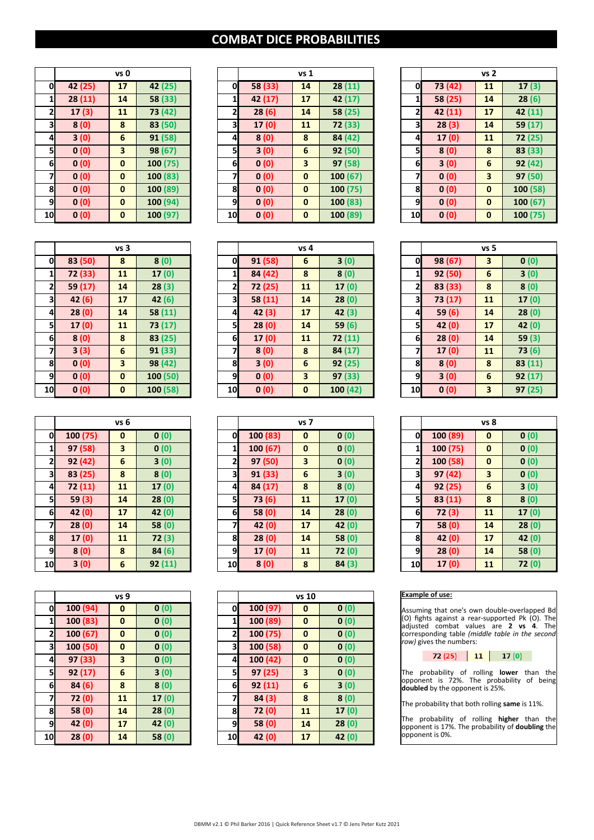# **COMBAT DICE PROBABILITIES**

|    |         | vs 0 |          |
|----|---------|------|----------|
| 0  | 42 (25) | 17   | 42 (25)  |
| 1  | 28 (11) | 14   | 58 (33)  |
| 2  | 17 (3)  | 11   | 73 (42)  |
| 3  | 8(0)    | 8    | 83 (50)  |
| 4  | 3(0)    | 6    | 91 (58)  |
| 5  | 0(0)    | 3    | 98 (67)  |
| 6  | 0(0)    | 0    | 100(75)  |
| 7  | 0(0)    | 0    | 100 (83) |
| 8  | 0(0)    | 0    | 100 (89) |
| 9  | 0(0)    | 0    | 100 (94) |
| 10 | 0(0)    | 0    | 100 (97) |

|              |         | vs 0                    |          |                 |         | vs <sub>1</sub>         |          |              | vs <sub>2</sub> |             |          |
|--------------|---------|-------------------------|----------|-----------------|---------|-------------------------|----------|--------------|-----------------|-------------|----------|
| 0            | 42 (25) | 17                      | 42 (25)  | 0l              | 58 (33) | 14                      | 28(11)   | $\mathbf{0}$ | 73 (42)         | 11          | 17(3)    |
| $\mathbf{1}$ | 28(11)  | 14                      | 58 (33)  | 1               | 42 (17) | 17                      | 42 (17)  | 1            | 58 (25)         | 14          | 28(6)    |
| $\mathbf{z}$ | 17(3)   | 11                      | 73 (42)  | 2               | 28(6)   | 14                      | 58 (25)  | $\mathbf{2}$ | 42(11)          | 17          | 42(11)   |
| 3            | 8(0)    | 8                       | 83 (50)  | 3               | 17(0)   | 11                      | 72 (33)  | 31           | 28(3)           | 14          | 59 (17)  |
| 4            | 3(0)    | 6                       | 91 (58)  | 41              | 8(0)    | 8                       | 84 (42)  | 4            | 17(0)           | 11          | 72(25)   |
| <b>5</b>     | 0(0)    | $\overline{\mathbf{3}}$ | 98 (67)  | 51              | 3(0)    | 6                       | 92(50)   | 51           | 8(0)            | 8           | 83 (33)  |
| 6            | 0(0)    | $\mathbf{0}$            | 100(75)  | 6               | 0(0)    | $\overline{\mathbf{3}}$ | 97(58)   | 6            | 3(0)            | 6           | 92(42)   |
| 7            | 0(0)    | $\mathbf{0}$            | 100 (83) | 71              | 0(0)    | $\mathbf{0}$            | 100(67)  | 7            | 0(0)            | 3           | 97(50)   |
| 8            | 0(0)    | $\mathbf{0}$            | 100 (89) | 8               | 0(0)    | $\mathbf{0}$            | 100(75)  | 81           | 0(0)            | $\mathbf 0$ | 100 (58) |
| <b>9</b>     | 0(0)    | $\mathbf 0$             | 100 (94) | 9               | 0(0)    | $\mathbf{0}$            | 100(83)  | 9            | 0(0)            | $\mathbf 0$ | 100 (67) |
| 10           | 0(0)    | $\mathbf 0$             | 100 (97) | 10 <sub>l</sub> | 0(0)    | $\mathbf{0}$            | 100 (89) | 10           | 0(0)            | $\mathbf 0$ | 100 (75) |
|              |         |                         |          |                 |         |                         |          |              |                 |             |          |

|                         |         | vs 2 |          |
|-------------------------|---------|------|----------|
| 0                       | 73 (42) | 11   | 17(3)    |
| 1                       | 58 (25) | 14   | 28(6)    |
| $\overline{\mathbf{c}}$ | 42 (11) | 17   | 42 (11)  |
| 3                       | 28(3)   | 14   | 59 (17)  |
| 4                       | 17(0)   | 11   | 72 (25)  |
| 5                       | 8(0)    | 8    | 83 (33)  |
| 6                       | 3(0)    | 6    | 92 (42)  |
| 7                       | 0 (0)   | 3    | 97 (50)  |
| 8                       | 0 (0)   | 0    | 100 (58) |
| 9                       | 0 (0)   | 0    | 100(67)  |
| 10                      | 0(0)    | 0    | 100(75)  |

|    |         | vs 3 |          |
|----|---------|------|----------|
| 0  | 83 (50) | 8    | 8(0)     |
| 1  | 72 (33) | 11   | 17 (0)   |
| 2  | 59 (17) | 14   | 28(3)    |
| 3  | 42 (6)  | 17   | 42(6)    |
| 4  | 28(0)   | 14   | 58 (11)  |
| 5  | 17(0)   | 11   | 73 (17)  |
| 6  | 8(0)    | 8    | 83 (25)  |
| 7  | 3(3)    | 6    | 91 (33)  |
| 8  | 0(0)    | 3    | 98 (42)  |
| 9  | 0(0)    | 0    | 100 (50) |
| 10 | 0(0)    | 0    | 100 (58) |

|    |          | vs 6 |         |
|----|----------|------|---------|
| 0  | 100 (75) | 0    | 0(0)    |
| 1  | 97 (58)  | 3    | 0(0)    |
| 2  | 92 (42)  | 6    | 3(0)    |
| 3  | 83 (25)  | 8    | 8(0)    |
| 4  | 72 (11)  | 11   | 17(0)   |
| 5  | 59(3)    | 14   | 28(0)   |
| 6  | 42 (0)   | 17   | 42(0)   |
| 7  | 28(0)    | 14   | 58 (0)  |
| 8  | 17(0)    | 11   | 72 (3)  |
| 9  | 8(0)     | 8    | 84(6)   |
| 10 | 3(0)     | 6    | 92 (11) |

|    |                         | vs 9                    |       |                |          | vs 1     |
|----|-------------------------|-------------------------|-------|----------------|----------|----------|
|    | 100 (94)<br>0           | 0                       | 0(0)  | 0              | 100 (97) | $\bf{0}$ |
|    | 100 (83)<br>1           | $\mathbf{0}$            | 0(0)  | 1              | 100 (89) | $\bf{0}$ |
|    | $\mathbf{z}$<br>100(67) | $\bf{0}$                | 0(0)  | $\overline{2}$ | 100(75)  | $\bf{0}$ |
|    | 100 (50)<br>3           | $\bf{0}$                | 0(0)  | 3              | 100 (58) | $\bf{0}$ |
|    | 97 (33)<br>4            | $\overline{\mathbf{3}}$ | 0(0)  | 4              | 100 (42) | $\bf{0}$ |
|    | 92(17)<br>5             | 6                       | 3(0)  | 5              | 97 (25)  | 3        |
|    | 84 (6)<br>6             | 8                       | 8(0)  | 6              | 92(11)   | 6        |
| 7  | 72 (0)                  | 11                      | 17(0) | 7              | 84(3)    | 8        |
|    | 58 (0)<br>8             | 14                      | 28(0) | 8              | 72 (0)   | 11       |
|    | 42(0)<br>9              | 17                      | 42(0) | 9              | 58 (0)   | 14       |
| 10 | 28(0)                   | 14                      | 58(0) | 10             | 42(0)    | 17       |
|    |                         |                         |       |                |          |          |

|                | vs <sub>3</sub> |              |          |    | vs 4   |             |          |                 | vs <sub>5</sub> |                         |         |
|----------------|-----------------|--------------|----------|----|--------|-------------|----------|-----------------|-----------------|-------------------------|---------|
| 0              | 83 (50)         | 8            | 8(0)     | O  | 91(58) | 6           | 3(0)     | 0               | 98 (67)         | 3                       | 0(0)    |
| $\mathbf{1}$   | 72 (33)         | 11           | 17(0)    | 1  | 84(42) | 8           | 8(0)     | 11              | 92(50)          | 6                       | 3(0)    |
| $\mathbf{z}$   | 59 (17)         | 14           | 28(3)    | 2  | 72(25) | 11          | 17(0)    | 2               | 83 (33)         | 8                       | 8(0)    |
| 31             | 42(6)           | 17           | 42(6)    | 3  | 58(11) | 14          | 28(0)    | 3               | 73 (17)         | 11                      | 17(0)   |
| $\overline{a}$ | 28(0)           | 14           | 58 (11)  | 4  | 42(3)  | 17          | 42(3)    | 4               | 59(6)           | 14                      | 28(0)   |
| 5              | 17(0)           | 11           | 73 (17)  | 5  | 28(0)  | 14          | 59(6)    | $\mathsf{S}$    | 42(0)           | 17                      | 42(0)   |
| 6              | 8(0)            | 8            | 83(25)   | 6  | 17(0)  | 11          | 72(11)   | 6               | 28(0)           | 14                      | 59 (3)  |
|                | 3(3)            | 6            | 91(33)   | 71 | 8(0)   | 8           | 84(17)   | 71              | 17(0)           | 11                      | 73(6)   |
| 8              | 0(0)            | 3            | 98 (42)  | 8  | 3(0)   | 6           | 92(25)   | 8               | 8(0)            | 8                       | 83 (11) |
| 9              | 0(0)            | $\mathbf{0}$ | 100(50)  | 9  | 0(0)   | 3           | 97(33)   | 9               | 3(0)            | 6                       | 92(17)  |
| 10             | 0(0)            | $\mathbf{0}$ | 100 (58) | 10 | 0(0)   | $\mathbf 0$ | 100 (42) | 10 <sub>l</sub> | 0(0)            | $\overline{\mathbf{3}}$ | 97(25)  |

|                         |          | vs 6                    |        |                 |          | vs <sub>7</sub>         |        |                | vs 8     |                         |        |
|-------------------------|----------|-------------------------|--------|-----------------|----------|-------------------------|--------|----------------|----------|-------------------------|--------|
| 0                       | 100 (75) | $\mathbf{0}$            | 0(0)   | 0               | 100 (83) | $\mathbf 0$             | 0(0)   | O              | 100 (89) | $\mathbf{0}$            | 0(0)   |
| $\mathbf{1}$            | 97(58)   | $\overline{\mathbf{3}}$ | 0(0)   | 1               | 100(67)  | $\mathbf{0}$            | 0(0)   | 1              | 100(75)  | $\mathbf{0}$            | 0(0)   |
| $\mathbf{z}$            | 92(42)   | 6                       | 3(0)   | $\mathbf{z}$    | 97(50)   | $\overline{\mathbf{3}}$ | 0(0)   | $\mathbf{z}$   | 100(58)  | $\mathbf{0}$            | 0(0)   |
| $\overline{\mathbf{3}}$ | 83 (25)  | 8                       | 8(0)   | 3               | 91(33)   | 6                       | 3(0)   | 3              | 97(42)   | $\overline{\mathbf{3}}$ | 0(0)   |
| $\overline{4}$          | 72(11)   | 11                      | 17(0)  | $\mathbf{a}$    | 84(17)   | 8                       | 8(0)   | $\overline{4}$ | 92(25)   | 6                       | 3(0)   |
| 5                       | 59(3)    | 14                      | 28(0)  | 51              | 73(6)    | 11                      | 17(0)  | 51             | 83(11)   | 8                       | 8(0)   |
| 6                       | 42 (0)   | 17                      | 42(0)  | $6\blacksquare$ | 58(0)    | 14                      | 28(0)  | 6              | 72(3)    | 11                      | 17(0)  |
| $\overline{7}$          | 28(0)    | 14                      | 58(0)  | 71              | 42(0)    | 17                      | 42(0)  | 7              | 58(0)    | 14                      | 28(0)  |
| 8                       | 17(0)    | 11                      | 72(3)  | 8               | 28(0)    | 14                      | 58 (0) | 8              | 42(0)    | 17                      | 42 (0) |
| 9                       | 8(0)     | 8                       | 84(6)  | 9               | 17(0)    | 11                      | 72 (0) | 9              | 28(0)    | 14                      | 58 (0) |
| 10                      | 3(0)     | 6                       | 92(11) | 10 <sub>l</sub> | 8(0)     | 8                       | 84(3)  | 10             | 17(0)    | 11                      | 72 (0) |

|          | vs 9     |        |    |          | vs 10    |       |
|----------|----------|--------|----|----------|----------|-------|
| 100 (94) | 0        | 0(0)   | 0  | 100(97)  | 0        | 0(0)  |
| 100 (83) | $\bf{0}$ | 0(0)   | 1  | 100 (89) | $\bf{0}$ | 0(0)  |
| 100 (67) | $\bf{0}$ | 0(0)   | 2  | 100 (75) | $\bf{0}$ | 0(0)  |
| 100 (50) | $\bf{0}$ | 0(0)   | 3  | 100 (58) | 0        | 0(0)  |
| 97 (33)  | 3        | 0(0)   | 4  | 100(42)  | 0        | 0(0)  |
| 92(17)   | 6        | 3(0)   | 5  | 97(25)   | 3        | 0(0)  |
| 84(6)    | 8        | 8(0)   | 6  | 92 (11)  | 6        | 3(0)  |
| 72(0)    | 11       | 17(0)  | 7  | 84(3)    | 8        | 8(0)  |
| 58(0)    | 14       | 28(0)  | 8  | 72 (0)   | 11       | 17(0) |
| 42(0)    | 17       | 42 (0) | 9  | 58 (0)   | 14       | 28(0) |
| 28(0)    | 14       | 58 (0) | 10 | 42 (0)   | 17       | 42(0) |
|          |          |        |    |          |          |       |

|    |         | vs 5 |         |
|----|---------|------|---------|
| 0  | 98 (67) | 3    | 0(0)    |
| 1  | 92 (50) | 6    | 3(0)    |
| 2  | 83 (33) | 8    | 8(0)    |
| 3  | 73 (17) | 11   | 17(0)   |
| 4  | 59 (6)  | 14   | 28(0)   |
| 5  | 42 (0)  | 17   | 42(0)   |
| 6  | 28(0)   | 14   | 59 (3)  |
| 7  | 17 (0)  | 11   | 73 (6)  |
| 8  | 8(0)    | 8    | 83 (11) |
| 9  | 3(0)    | 6    | 92 (17) |
| 10 | 0(0)    | 3    | 97(25)  |

|        | vs 6     |        |    | vs <sub>7</sub> |                         |       |  |    | vs 8    |              |       |  |
|--------|----------|--------|----|-----------------|-------------------------|-------|--|----|---------|--------------|-------|--|
| 0 (75) | $\bf{0}$ | 0(0)   | O  | 100(83)         | $\mathbf{0}$            | 0(0)  |  | O  | 100(89) | $\mathbf{0}$ | 0(0)  |  |
| 7 (58) | 3        | 0(0)   | 1  | 100(67)         | $\mathbf{0}$            | 0(0)  |  |    | 100(75) | $\mathbf{0}$ | 0(0)  |  |
| 2(42)  | 6        | 3(0)   | 2  | 97(50)          | $\overline{\mathbf{3}}$ | 0(0)  |  | 2  | 100(58) | $\mathbf{0}$ | 0(0)  |  |
| 3 (25) | 8        | 8(0)   | 31 | 91(33)          | 6                       | 3(0)  |  | 31 | 97(42)  | 3            | 0(0)  |  |
| 2(11)  | 11       | 17(0)  | 4  | 84 (17)         | 8                       | 8(0)  |  | 4  | 92(25)  | 6            | 3(0)  |  |
| 59 (3) | 14       | 28(0)  | 5  | 73(6)           | 11                      | 17(0) |  | 51 | 83(11)  | 8            | 8(0)  |  |
| 2(0)   | 17       | 42(0)  | 6  | 58(0)           | 14                      | 28(0) |  | 6  | 72(3)   | 11           | 17(0) |  |
| 28(0)  | 14       | 58 (0) | 7  | 42(0)           | 17                      | 42(0) |  | 7  | 58(0)   | 14           | 28(0) |  |
| 17(0)  | 11       | 72(3)  | 8  | 28(0)           | 14                      | 58(0) |  | 8  | 42(0)   | 17           | 42(0) |  |
| 8(0)   | 8        | 84(6)  | 9  | 17(0)           | 11                      | 72(0) |  | 9  | 28(0)   | 14           | 58(0) |  |
| 3(0)   | 6        | 92(11) | 10 | 8(0)            | 8                       | 84(3) |  | 10 | 17(0)   | 11           | 72(0) |  |

## **Example of use:**

 $\overline{\phantom{a}}$ 

Assuming that one's own double-overlapped Bd (O) fights against a rear-supported Pk (O). The adjusted combat values are **2** vs **4**. The corresponding table *(middle table in the second row)* gives the numbers:



The probability of rolling **lower** than the opponent is 72%. The probability of being **doubled** by the opponent is 25%.

The probability that both rolling **same** is 11%.

The probability of rolling **higher** than the opponent is 17%. The probability of **doubling** the opponent is 0%.